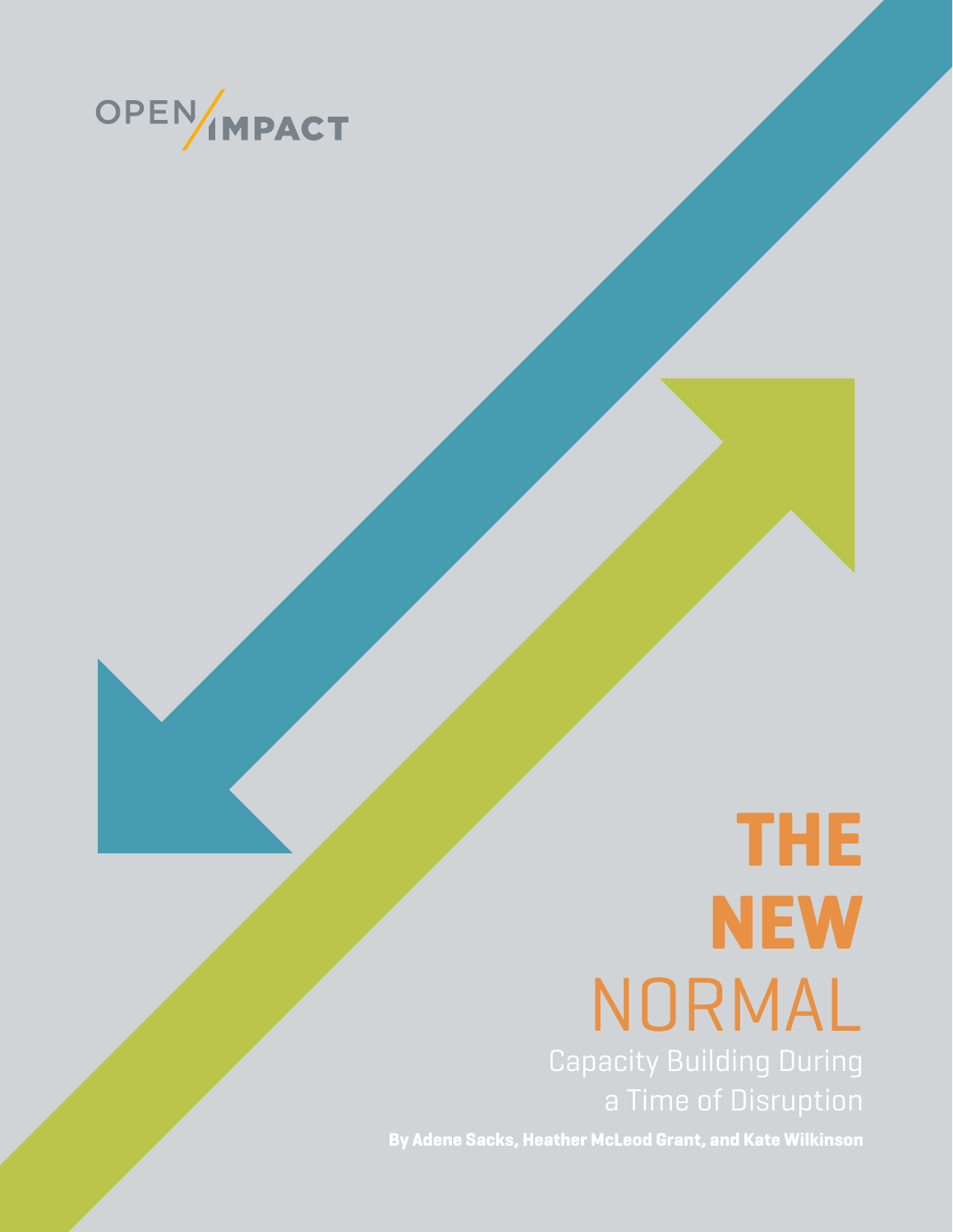

# **THE NEW** NORMAL

**By Adene Sacks, Heather McLeod Grant, and Kate Wilkinson**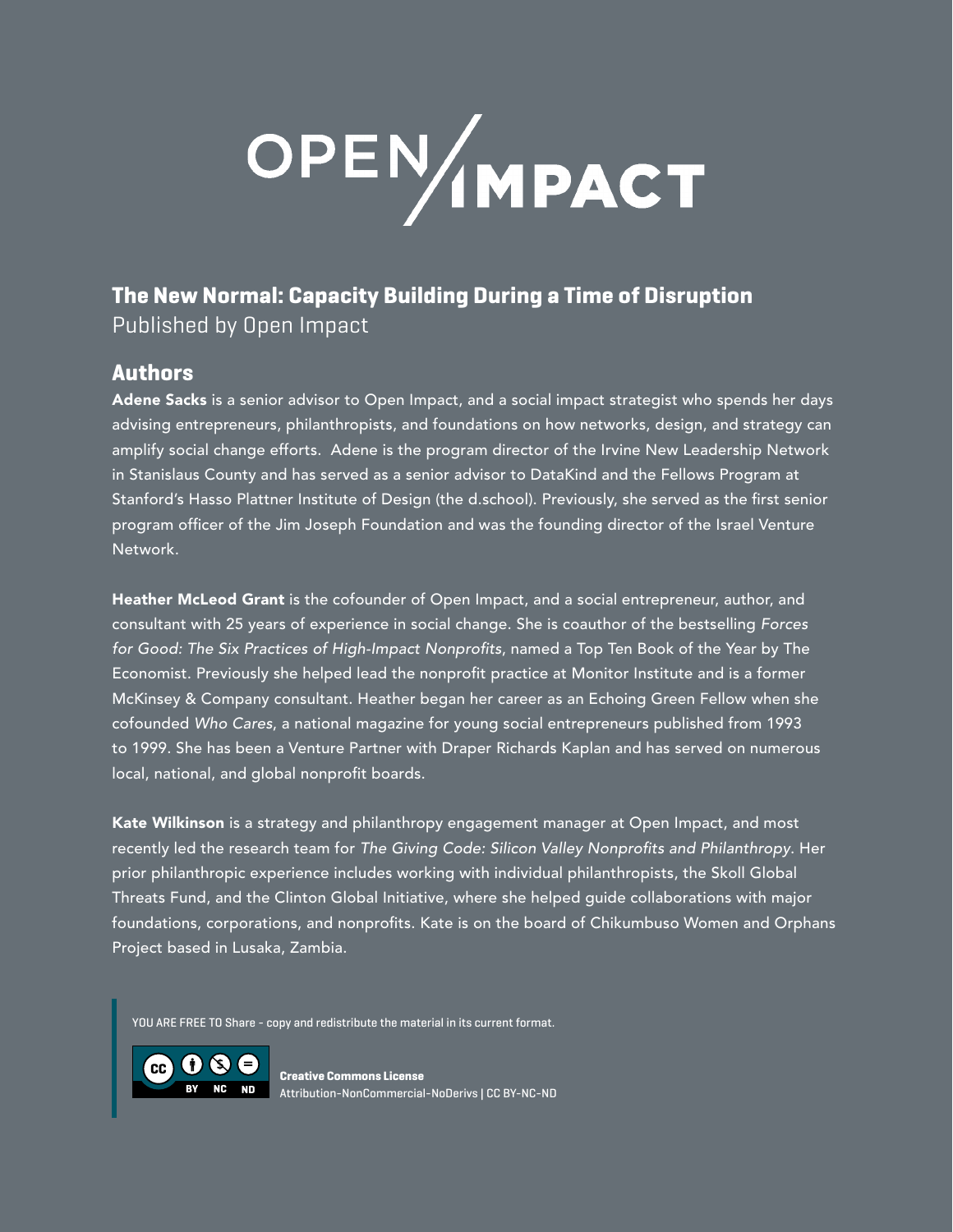# OPEN MPACT

### **The New Normal: Capacity Building During a Time of Disruption** Published by Open Impact

### **Authors**

Adene Sacks is a senior advisor to Open Impact, and a social impact strategist who spends her days advising entrepreneurs, philanthropists, and foundations on how networks, design, and strategy can amplify social change efforts. Adene is the program director of the Irvine New Leadership Network in Stanislaus County and has served as a senior advisor to DataKind and the Fellows Program at Stanford's Hasso Plattner Institute of Design (the d.school). Previously, she served as the first senior program officer of the Jim Joseph Foundation and was the founding director of the Israel Venture Network.

Heather McLeod Grant is the cofounder of Open Impact, and a social entrepreneur, author, and consultant with 25 years of experience in social change. She is coauthor of the bestselling *Forces for Good: The Six Practices of High-Impact Nonprofits*, named a Top Ten Book of the Year by The Economist. Previously she helped lead the nonprofit practice at Monitor Institute and is a former McKinsey & Company consultant. Heather began her career as an Echoing Green Fellow when she cofounded *Who Cares*, a national magazine for young social entrepreneurs published from 1993 to 1999. She has been a Venture Partner with Draper Richards Kaplan and has served on numerous local, national, and global nonprofit boards.

Kate Wilkinson is a strategy and philanthropy engagement manager at Open Impact, and most recently led the research team for *The Giving Code: Silicon Valley Nonprofits and Philanthropy*. Her prior philanthropic experience includes working with individual philanthropists, the Skoll Global Threats Fund, and the Clinton Global Initiative, where she helped guide collaborations with major foundations, corporations, and nonprofits. Kate is on the board of Chikumbuso Women and Orphans Project based in Lusaka, Zambia.

YOU ARE FREE TO Share - copy and redistribute the material in its current format.

 $\mathsf{cc}$   $\mathsf{t}$   $\mathsf{t}$ **BY NC ND**

**Creative Commons License** Attribution-NonCommercial-NoDerivs | CC BY-NC-ND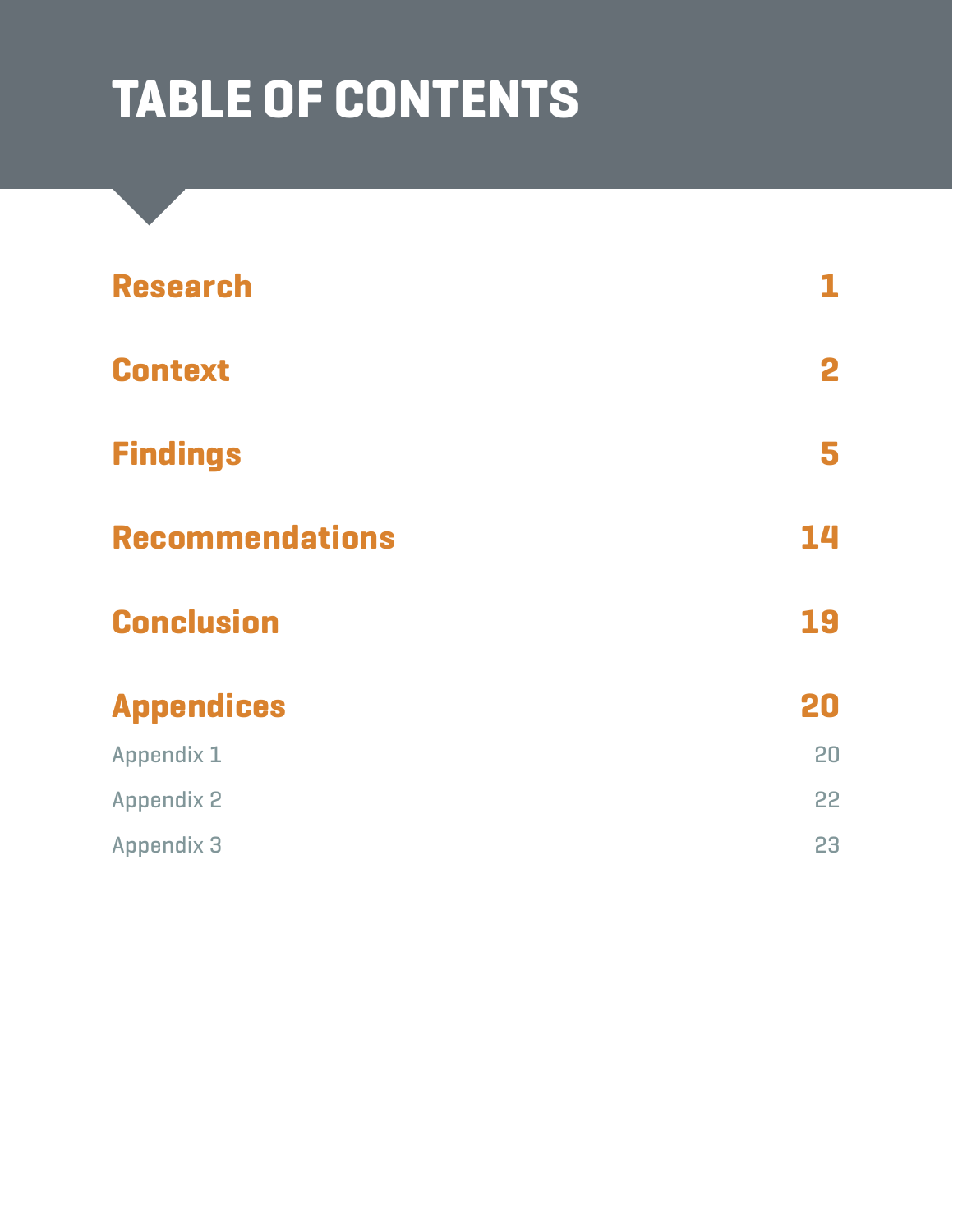# **TABLE OF CONTENTS**

| <b>Research</b>        |    |
|------------------------|----|
| <b>Context</b>         | 2  |
| <b>Findings</b>        | 5  |
| <b>Recommendations</b> | 14 |
| <b>Conclusion</b>      | 19 |
| <b>Appendices</b>      | 20 |
| Appendix 1             | 20 |
| <b>Appendix 2</b>      | 22 |
| <b>Appendix 3</b>      | 23 |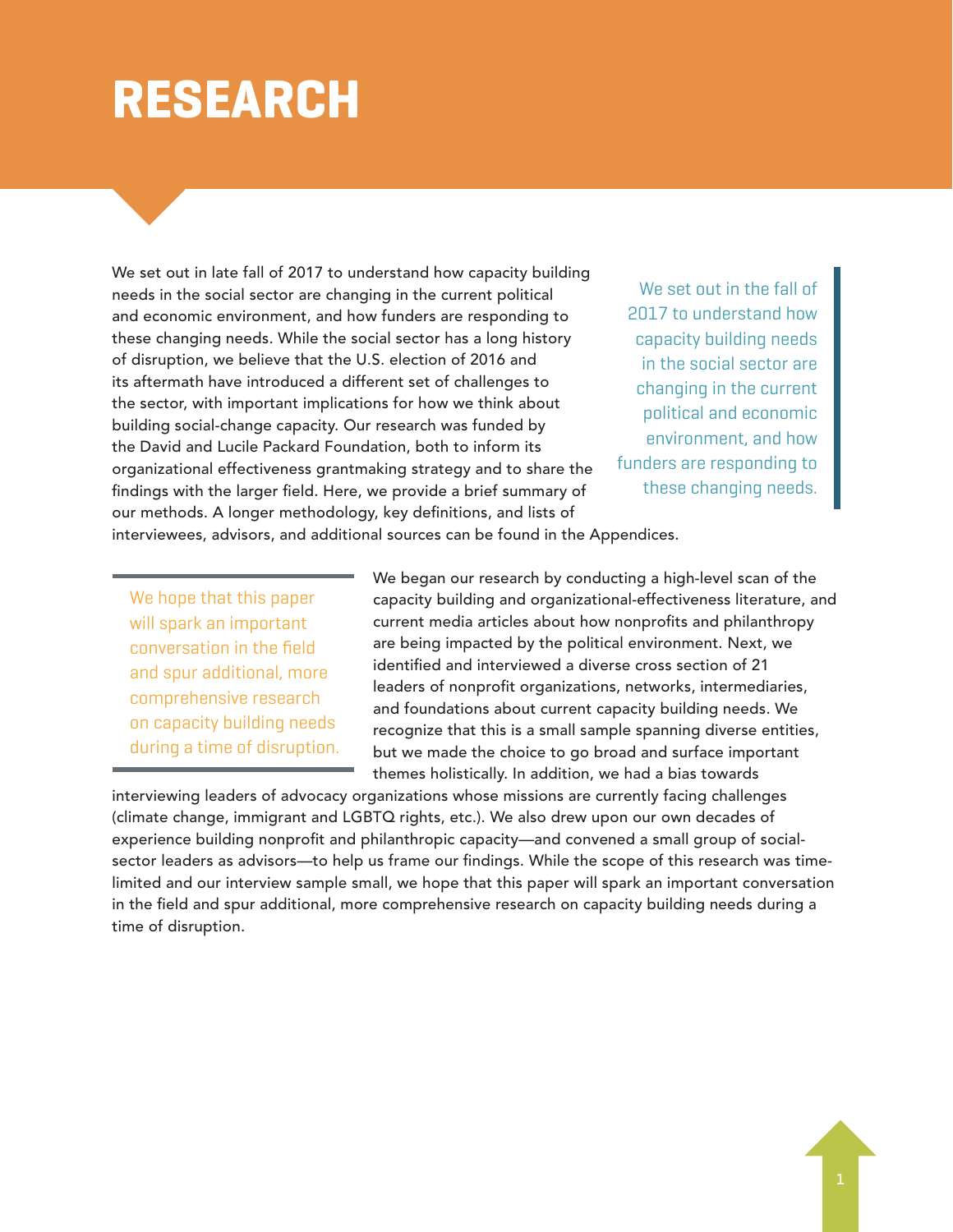### **RESEARCH**

We set out in late fall of 2017 to understand how capacity building needs in the social sector are changing in the current political and economic environment, and how funders are responding to these changing needs. While the social sector has a long history of disruption, we believe that the U.S. election of 2016 and its aftermath have introduced a different set of challenges to the sector, with important implications for how we think about building social-change capacity. Our research was funded by the David and Lucile Packard Foundation, both to inform its organizational effectiveness grantmaking strategy and to share the findings with the larger field. Here, we provide a brief summary of our methods. A longer methodology, key definitions, and lists of

We set out in the fall of 2017 to understand how capacity building needs in the social sector are changing in the current political and economic environment, and how funders are responding to these changing needs.

interviewees, advisors, and additional sources can be found in the Appendices.

We hope that this paper will spark an important conversation in the field and spur additional, more comprehensive research on capacity building needs during a time of disruption. We began our research by conducting a high-level scan of the capacity building and organizational-effectiveness literature, and current media articles about how nonprofits and philanthropy are being impacted by the political environment. Next, we identified and interviewed a diverse cross section of 21 leaders of nonprofit organizations, networks, intermediaries, and foundations about current capacity building needs. We recognize that this is a small sample spanning diverse entities, but we made the choice to go broad and surface important themes holistically. In addition, we had a bias towards

interviewing leaders of advocacy organizations whose missions are currently facing challenges (climate change, immigrant and LGBTQ rights, etc.). We also drew upon our own decades of experience building nonprofit and philanthropic capacity—and convened a small group of socialsector leaders as advisors—to help us frame our findings. While the scope of this research was timelimited and our interview sample small, we hope that this paper will spark an important conversation in the field and spur additional, more comprehensive research on capacity building needs during a time of disruption.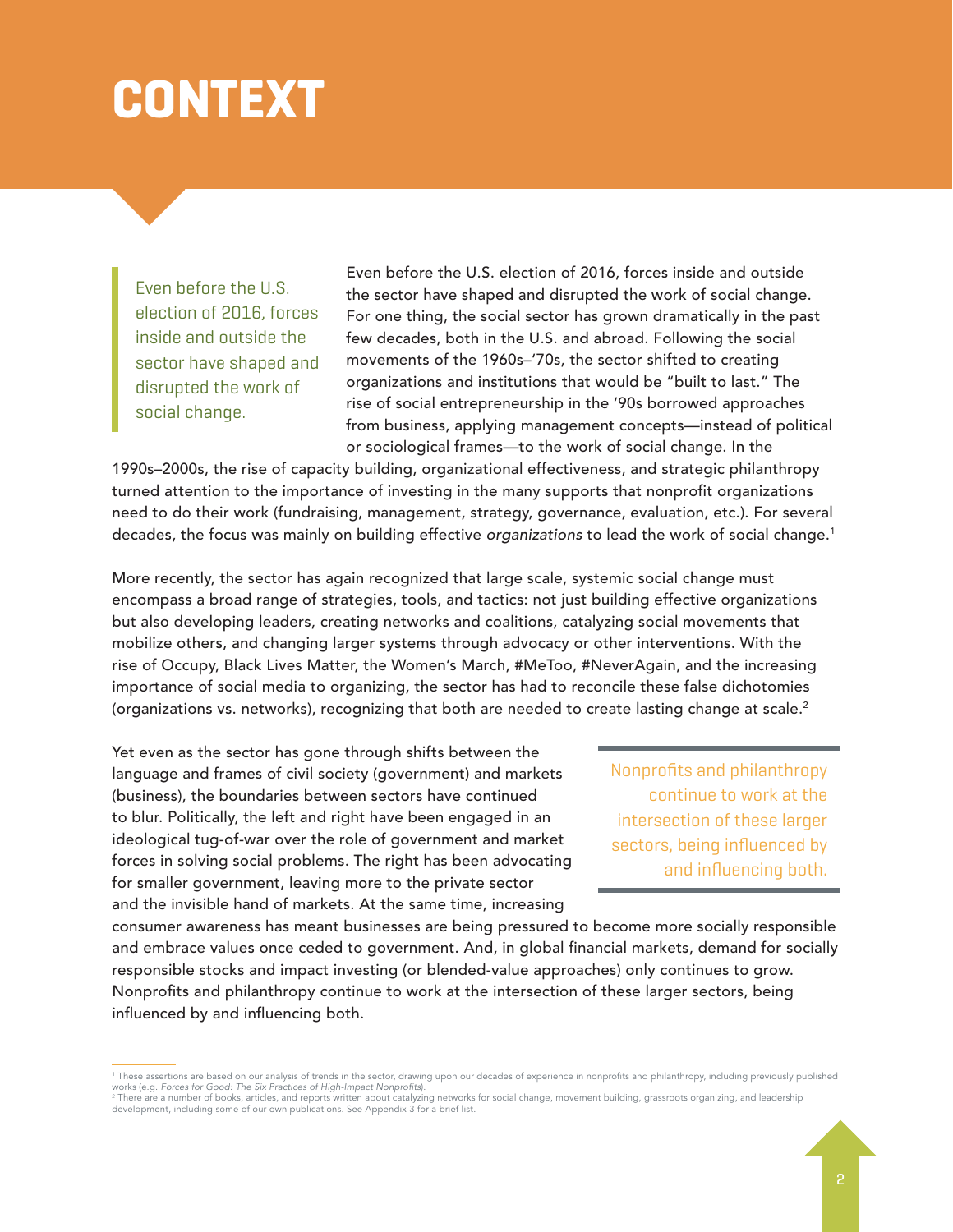### **CONTEXT**

Even before the U.S. election of 2016, forces inside and outside the sector have shaped and disrupted the work of social change.

Even before the U.S. election of 2016, forces inside and outside the sector have shaped and disrupted the work of social change. For one thing, the social sector has grown dramatically in the past few decades, both in the U.S. and abroad. Following the social movements of the 1960s–'70s, the sector shifted to creating organizations and institutions that would be "built to last." The rise of social entrepreneurship in the '90s borrowed approaches from business, applying management concepts—instead of political or sociological frames—to the work of social change. In the

1990s–2000s, the rise of capacity building, organizational effectiveness, and strategic philanthropy turned attention to the importance of investing in the many supports that nonprofit organizations need to do their work (fundraising, management, strategy, governance, evaluation, etc.). For several decades, the focus was mainly on building effective *organizations* to lead the work of social change.1

More recently, the sector has again recognized that large scale, systemic social change must encompass a broad range of strategies, tools, and tactics: not just building effective organizations but also developing leaders, creating networks and coalitions, catalyzing social movements that mobilize others, and changing larger systems through advocacy or other interventions. With the rise of Occupy, Black Lives Matter, the Women's March, #MeToo, #NeverAgain, and the increasing importance of social media to organizing, the sector has had to reconcile these false dichotomies (organizations vs. networks), recognizing that both are needed to create lasting change at scale.<sup>2</sup>

Yet even as the sector has gone through shifts between the language and frames of civil society (government) and markets (business), the boundaries between sectors have continued to blur. Politically, the left and right have been engaged in an ideological tug-of-war over the role of government and market forces in solving social problems. The right has been advocating for smaller government, leaving more to the private sector and the invisible hand of markets. At the same time, increasing

Nonprofits and philanthropy continue to work at the intersection of these larger sectors, being influenced by and influencing both.

consumer awareness has meant businesses are being pressured to become more socially responsible and embrace values once ceded to government. And, in global financial markets, demand for socially responsible stocks and impact investing (or blended-value approaches) only continues to grow. Nonprofits and philanthropy continue to work at the intersection of these larger sectors, being influenced by and influencing both.

<sup>1</sup> These assertions are based on our analysis of trends in the sector, drawing upon our decades of experience in nonprofits and philanthropy, including previously published works (e.g. *Forces for Good: The Six Practices of High-Impact Nonprofits*).

<sup>&</sup>lt;sup>2</sup> There are a number of books, articles, and reports written about catalyzing networks for social change, movement building, grassroots organizing, and leadership<br>development, including some of our own publications. See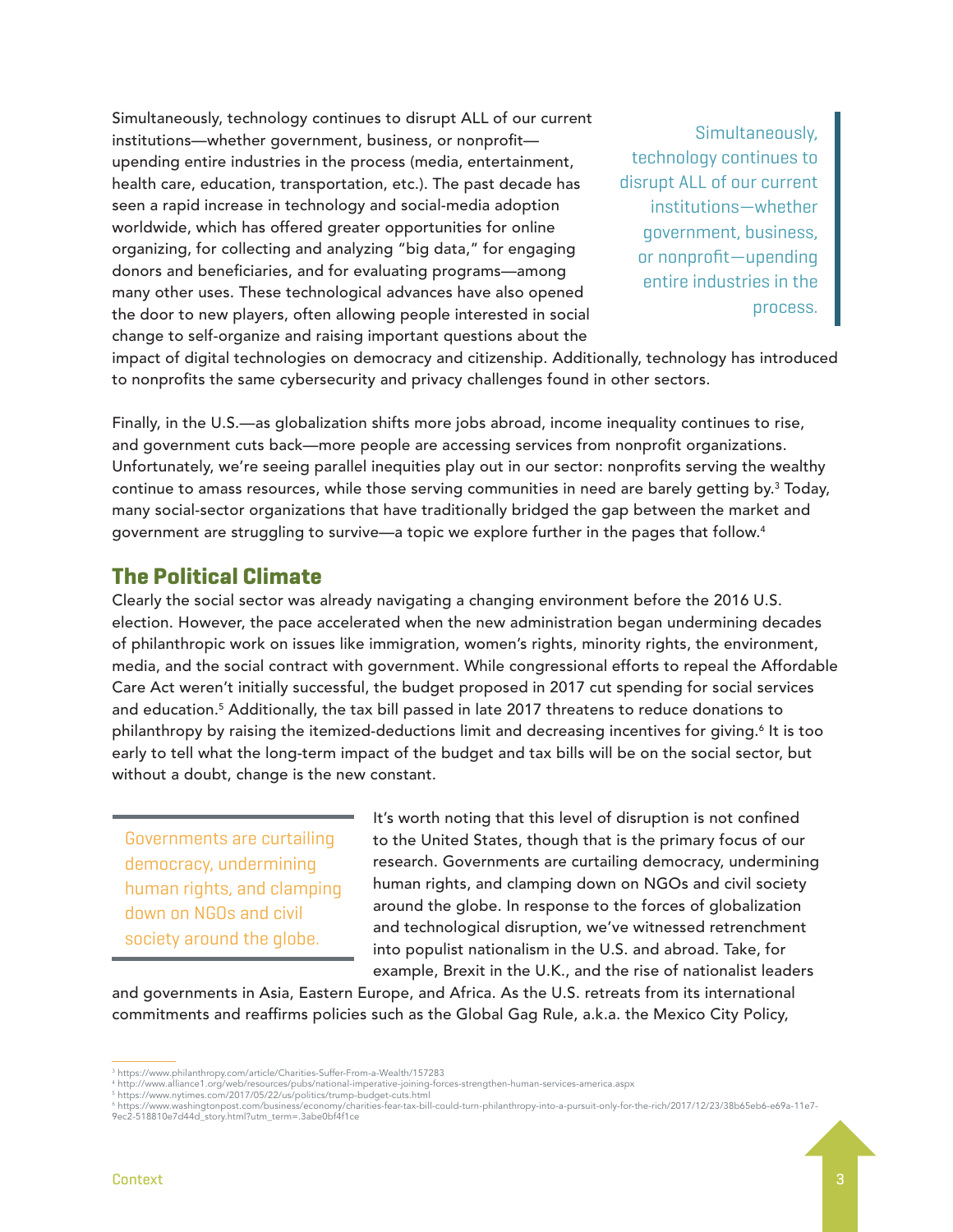Simultaneously, technology continues to disrupt ALL of our current institutions—whether government, business, or nonprofit upending entire industries in the process (media, entertainment, health care, education, transportation, etc.). The past decade has seen a rapid increase in technology and social-media adoption worldwide, which has offered greater opportunities for online organizing, for collecting and analyzing "big data," for engaging donors and beneficiaries, and for evaluating programs—among many other uses. These technological advances have also opened the door to new players, often allowing people interested in social change to self-organize and raising important questions about the

Simultaneously, technology continues to disrupt ALL of our current institutions—whether government, business, or nonprofit—upending entire industries in the process.

impact of digital technologies on democracy and citizenship. Additionally, technology has introduced to nonprofits the same cybersecurity and privacy challenges found in other sectors.

Finally, in the U.S.—as globalization shifts more jobs abroad, income inequality continues to rise, and government cuts back—more people are accessing services from nonprofit organizations. Unfortunately, we're seeing parallel inequities play out in our sector: nonprofits serving the wealthy continue to amass resources, while those serving communities in need are barely getting by.<sup>3</sup> Today, many social-sector organizations that have traditionally bridged the gap between the market and government are struggling to survive—a topic we explore further in the pages that follow.4  $\,$ 

### **The Political Climate**

Clearly the social sector was already navigating a changing environment before the 2016 U.S. election. However, the pace accelerated when the new administration began undermining decades of philanthropic work on issues like immigration, women's rights, minority rights, the environment, media, and the social contract with government. While congressional efforts to repeal the Affordable Care Act weren't initially successful, the budget proposed in 2017 cut spending for social services and education.<sup>5</sup> Additionally, the tax bill passed in late 2017 threatens to reduce donations to philanthropy by raising the itemized-deductions limit and decreasing incentives for giving.<sup>6</sup> It is too early to tell what the long-term impact of the budget and tax bills will be on the social sector, but without a doubt, change is the new constant.

Governments are curtailing democracy, undermining human rights, and clamping down on NGOs and civil society around the globe.

It's worth noting that this level of disruption is not confined to the United States, though that is the primary focus of our research. Governments are curtailing democracy, undermining human rights, and clamping down on NGOs and civil society around the globe. In response to the forces of globalization and technological disruption, we've witnessed retrenchment into populist nationalism in the U.S. and abroad. Take, for example, Brexit in the U.K., and the rise of nationalist leaders

and governments in Asia, Eastern Europe, and Africa. As the U.S. retreats from its international commitments and reaffirms policies such as the Global Gag Rule, a.k.a. the Mexico City Policy,

<sup>3</sup> https://www.philanthropy.com/article/Charities-Suffer-From-a-Wealth/157283

<sup>4</sup> http://www.alliance1.org/web/resources/pubs/national-imperative-joining-forces-strengthen-human-services-america.aspx

<sup>5</sup> https://www.nytimes.com/2017/05/22/us/politics/trump-budget-cuts.html

<sup>6</sup> https://www.washingtonpost.com/business/economy/charities-fear-tax-bill-could-turn-philanthropy-into-a-pursuit-only-for-the-rich/2017/12/23/38b65eb6-e69a-11e7- 9ec2-518810e7d44d\_story.html?utm\_term=.3abe0bf4f1ce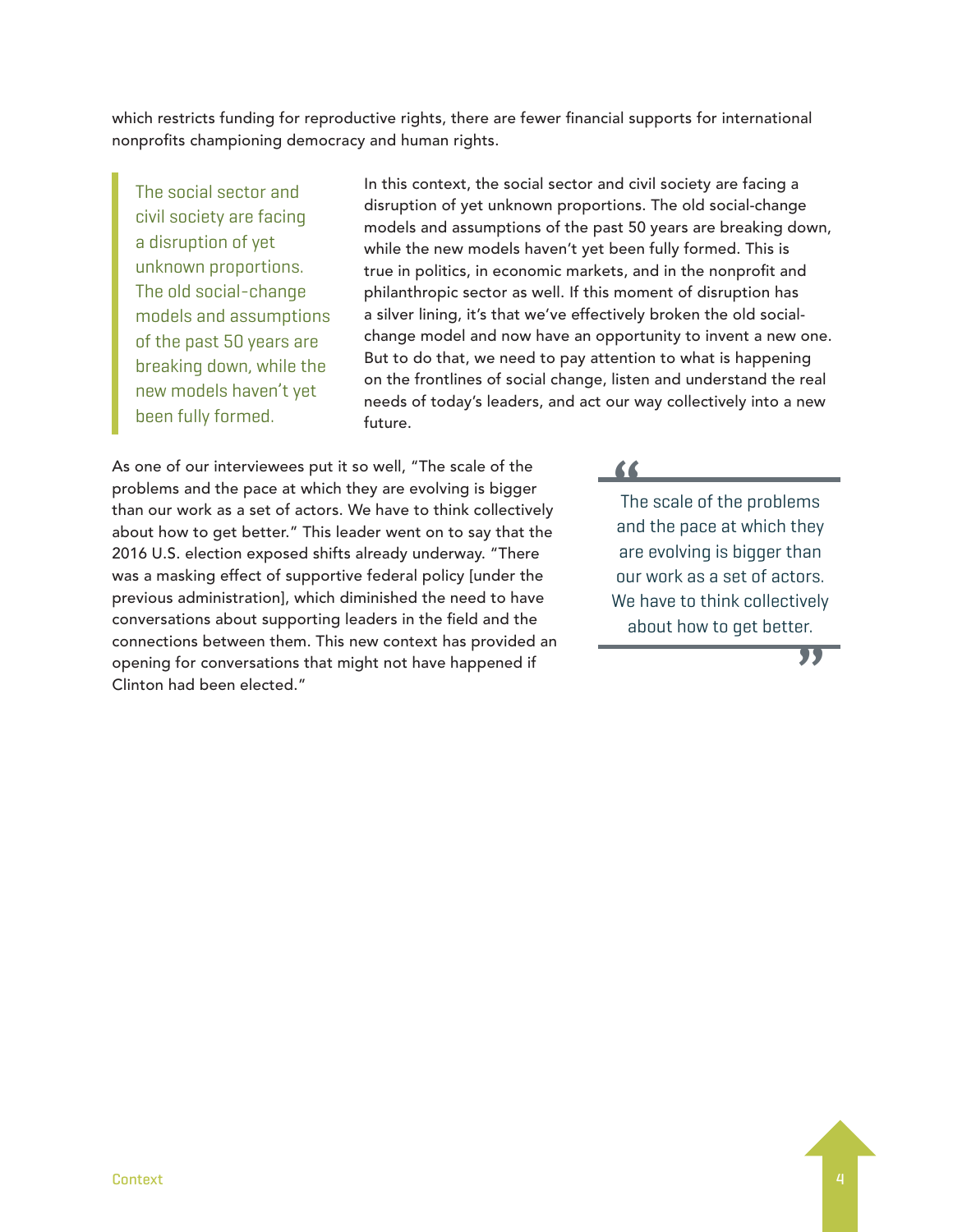which restricts funding for reproductive rights, there are fewer financial supports for international nonprofits championing democracy and human rights.

The social sector and civil society are facing a disruption of yet unknown proportions. The old social-change models and assumptions of the past 50 years are breaking down, while the new models haven't yet been fully formed.

In this context, the social sector and civil society are facing a disruption of yet unknown proportions. The old social-change models and assumptions of the past 50 years are breaking down, while the new models haven't yet been fully formed. This is true in politics, in economic markets, and in the nonprofit and philanthropic sector as well. If this moment of disruption has a silver lining, it's that we've effectively broken the old socialchange model and now have an opportunity to invent a new one. But to do that, we need to pay attention to what is happening on the frontlines of social change, listen and understand the real needs of today's leaders, and act our way collectively into a new future.

As one of our interviewees put it so well, "The scale of the problems and the pace at which they are evolving is bigger than our work as a set of actors. We have to think collectively about how to get better." This leader went on to say that the 2016 U.S. election exposed shifts already underway. "There was a masking effect of supportive federal policy [under the previous administration], which diminished the need to have conversations about supporting leaders in the field and the connections between them. This new context has provided an opening for conversations that might not have happened if Clinton had been elected."

**"** The scale of the problems and the pace at which they are evolving is bigger than our work as a set of actors. We have to think collectively about how to get better.

**"**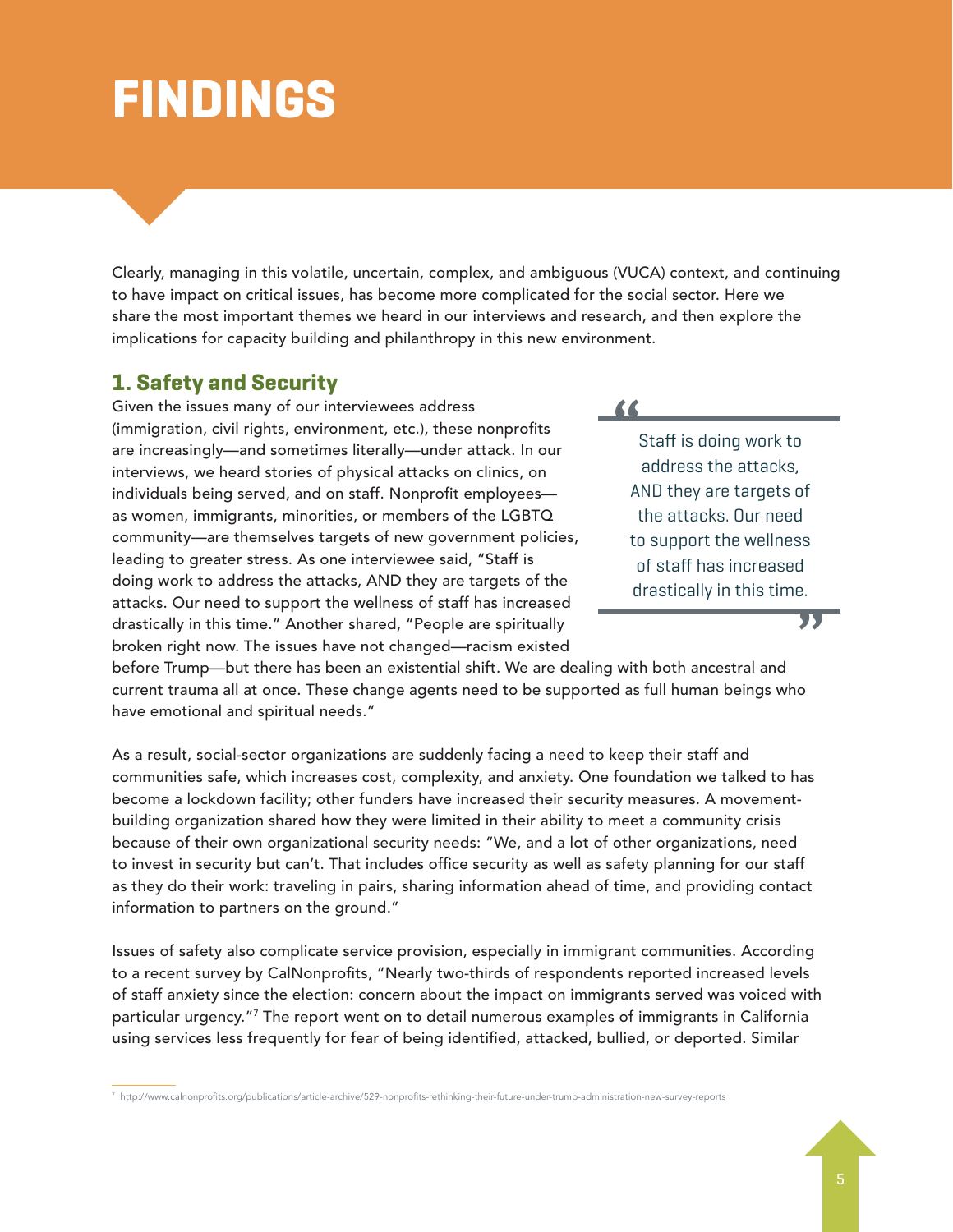## **FINDINGS**

Clearly, managing in this volatile, uncertain, complex, and ambiguous (VUCA) context, and continuing to have impact on critical issues, has become more complicated for the social sector. Here we share the most important themes we heard in our interviews and research, and then explore the implications for capacity building and philanthropy in this new environment.

### **1. Safety and Security**

Given the issues many of our interviewees address (immigration, civil rights, environment, etc.), these nonprofits are increasingly—and sometimes literally—under attack. In our interviews, we heard stories of physical attacks on clinics, on individuals being served, and on staff. Nonprofit employees as women, immigrants, minorities, or members of the LGBTQ community—are themselves targets of new government policies, leading to greater stress. As one interviewee said, "Staff is doing work to address the attacks, AND they are targets of the attacks. Our need to support the wellness of staff has increased drastically in this time." Another shared, "People are spiritually broken right now. The issues have not changed—racism existed

### **"**

Staff is doing work to address the attacks, AND they are targets of the attacks. Our need to support the wellness of staff has increased drastically in this time.

**"**

before Trump—but there has been an existential shift. We are dealing with both ancestral and current trauma all at once. These change agents need to be supported as full human beings who have emotional and spiritual needs."

As a result, social-sector organizations are suddenly facing a need to keep their staff and communities safe, which increases cost, complexity, and anxiety. One foundation we talked to has become a lockdown facility; other funders have increased their security measures. A movementbuilding organization shared how they were limited in their ability to meet a community crisis because of their own organizational security needs: "We, and a lot of other organizations, need to invest in security but can't. That includes office security as well as safety planning for our staff as they do their work: traveling in pairs, sharing information ahead of time, and providing contact information to partners on the ground."

Issues of safety also complicate service provision, especially in immigrant communities. According to a recent survey by CalNonprofits, "Nearly two-thirds of respondents reported increased levels of staff anxiety since the election: concern about the impact on immigrants served was voiced with particular urgency."7 The report went on to detail numerous examples of immigrants in California using services less frequently for fear of being identified, attacked, bullied, or deported. Similar

7 http://www.calnonprofits.org/publications/article-archive/529-nonprofits-rethinking-their-future-under-trump-administration-new-survey-reports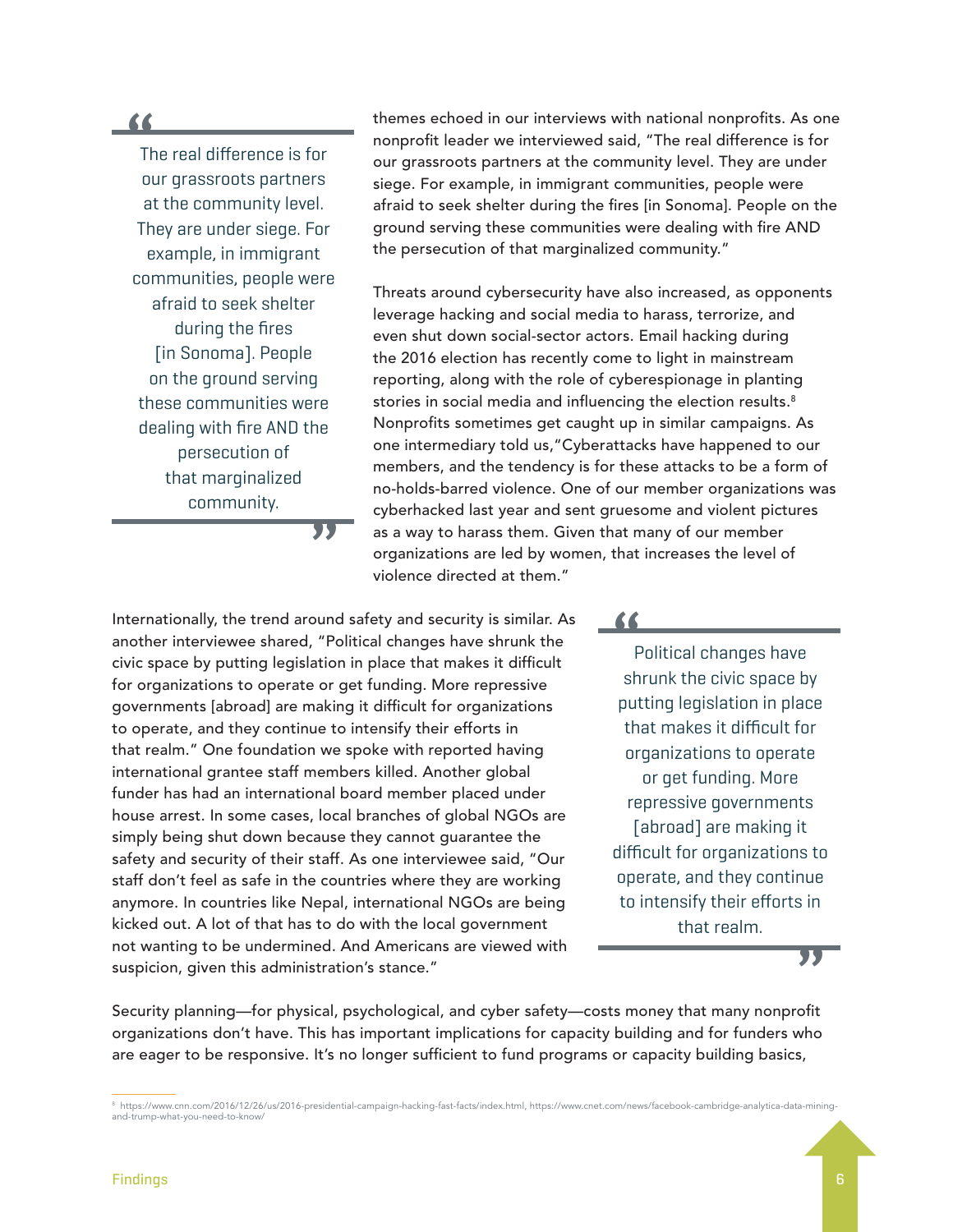**"**

The real difference is for our grassroots partners at the community level. They are under siege. For example, in immigrant communities, people were afraid to seek shelter during the fires [in Sonoma]. People on the ground serving these communities were dealing with fire AND the persecution of that marginalized community.

themes echoed in our interviews with national nonprofits. As one nonprofit leader we interviewed said, "The real difference is for our grassroots partners at the community level. They are under siege. For example, in immigrant communities, people were afraid to seek shelter during the fires [in Sonoma]. People on the ground serving these communities were dealing with fire AND the persecution of that marginalized community."

Threats around cybersecurity have also increased, as opponents leverage hacking and social media to harass, terrorize, and even shut down social-sector actors. Email hacking during the 2016 election has recently come to light in mainstream reporting, along with the role of cyberespionage in planting stories in social media and influencing the election results.<sup>8</sup> Nonprofits sometimes get caught up in similar campaigns. As one intermediary told us,"Cyberattacks have happened to our members, and the tendency is for these attacks to be a form of no-holds-barred violence. One of our member organizations was cyberhacked last year and sent gruesome and violent pictures as a way to harass them. Given that many of our member organizations are led by women, that increases the level of violence directed at them."

Internationally, the trend around safety and security is similar. As another interviewee shared, "Political changes have shrunk the civic space by putting legislation in place that makes it difficult for organizations to operate or get funding. More repressive governments [abroad] are making it difficult for organizations to operate, and they continue to intensify their efforts in that realm." One foundation we spoke with reported having international grantee staff members killed. Another global funder has had an international board member placed under house arrest. In some cases, local branches of global NGOs are simply being shut down because they cannot guarantee the safety and security of their staff. As one interviewee said, "Our staff don't feel as safe in the countries where they are working anymore. In countries like Nepal, international NGOs are being kicked out. A lot of that has to do with the local government not wanting to be undermined. And Americans are viewed with suspicion, given this administration's stance."

**"**

#### **"**

Political changes have shrunk the civic space by putting legislation in place that makes it difficult for organizations to operate or get funding. More repressive governments [abroad] are making it difficult for organizations to operate, and they continue to intensify their efforts in that realm.

**"**

Security planning—for physical, psychological, and cyber safety—costs money that many nonprofit organizations don't have. This has important implications for capacity building and for funders who are eager to be responsive. It's no longer sufficient to fund programs or capacity building basics,

<sup>8</sup> https://www.cnn.com/2016/12/26/us/2016-presidential-campaign-hacking-fast-facts/index.html, https://www.cnet.com/news/facebook-cambridge-analytica-data-miningand-trump-what-you-need-to-know/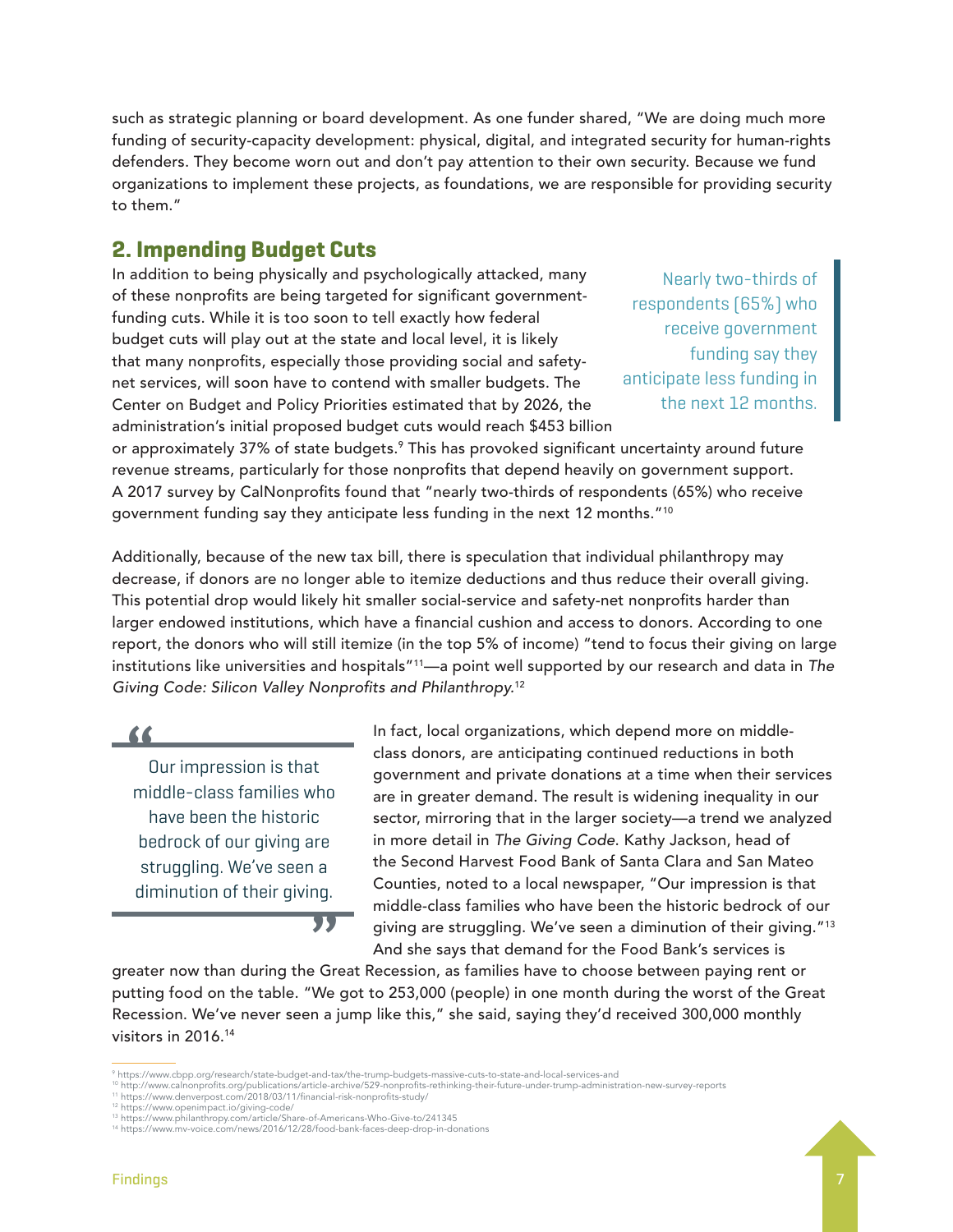such as strategic planning or board development. As one funder shared, "We are doing much more funding of security-capacity development: physical, digital, and integrated security for human-rights defenders. They become worn out and don't pay attention to their own security. Because we fund organizations to implement these projects, as foundations, we are responsible for providing security to them."

### **2. Impending Budget Cuts**

In addition to being physically and psychologically attacked, many of these nonprofits are being targeted for significant governmentfunding cuts. While it is too soon to tell exactly how federal budget cuts will play out at the state and local level, it is likely that many nonprofits, especially those providing social and safetynet services, will soon have to contend with smaller budgets. The Center on Budget and Policy Priorities estimated that by 2026, the administration's initial proposed budget cuts would reach \$453 billion

Nearly two-thirds of respondents (65%) who receive government funding say they anticipate less funding in the next 12 months.

or approximately 37% of state budgets.<sup>9</sup> This has provoked significant uncertainty around future revenue streams, particularly for those nonprofits that depend heavily on government support. A 2017 survey by CalNonprofits found that "nearly two-thirds of respondents (65%) who receive government funding say they anticipate less funding in the next 12 months."10

Additionally, because of the new tax bill, there is speculation that individual philanthropy may decrease, if donors are no longer able to itemize deductions and thus reduce their overall giving. This potential drop would likely hit smaller social-service and safety-net nonprofits harder than larger endowed institutions, which have a financial cushion and access to donors. According to one report, the donors who will still itemize (in the top 5% of income) "tend to focus their giving on large institutions like universities and hospitals"11—a point well supported by our research and data in *The Giving Code: Silicon Valley Nonprofits and Philanthropy.*<sup>12</sup>

**"**

Our impression is that middle-class families who have been the historic bedrock of our giving are struggling. We've seen a diminution of their giving.

In fact, local organizations, which depend more on middleclass donors, are anticipating continued reductions in both government and private donations at a time when their services are in greater demand. The result is widening inequality in our sector, mirroring that in the larger society—a trend we analyzed in more detail in *The Giving Code*. Kathy Jackson, head of the Second Harvest Food Bank of Santa Clara and San Mateo Counties, noted to a local newspaper, "Our impression is that middle-class families who have been the historic bedrock of our giving are struggling. We've seen a diminution of their giving."13 And she says that demand for the Food Bank's services is

greater now than during the Great Recession, as families have to choose between paying rent or putting food on the table. "We got to 253,000 (people) in one month during the worst of the Great Recession. We've never seen a jump like this," she said, saying they'd received 300,000 monthly visitors in 2016.14

**"**

<sup>9</sup> https://www.cbpp.org/research/state-budget-and-tax/the-trump-budgets-massive-cuts-to-state-and-local-services-and

<sup>&#</sup>x27;<sup>0</sup> http://www.calnonprofits.org/publications/article-archive/529-nonprofits-rethinking-their-future-under-trump-administration-new-survey-reports<br>'<sup>1</sup> https://www.denverpost.com/2018/03/11/financial-risk-nonprofits-study

<sup>&</sup>lt;sup>12</sup> https://www.openimpact.io/giving-code/<br><sup>13</sup> https://www.philanthropy.com/article/Share-of-Americans-Who-Give-to/241345

<sup>14</sup> https://www.mv-voice.com/news/2016/12/28/food-bank-faces-deep-drop-in-donations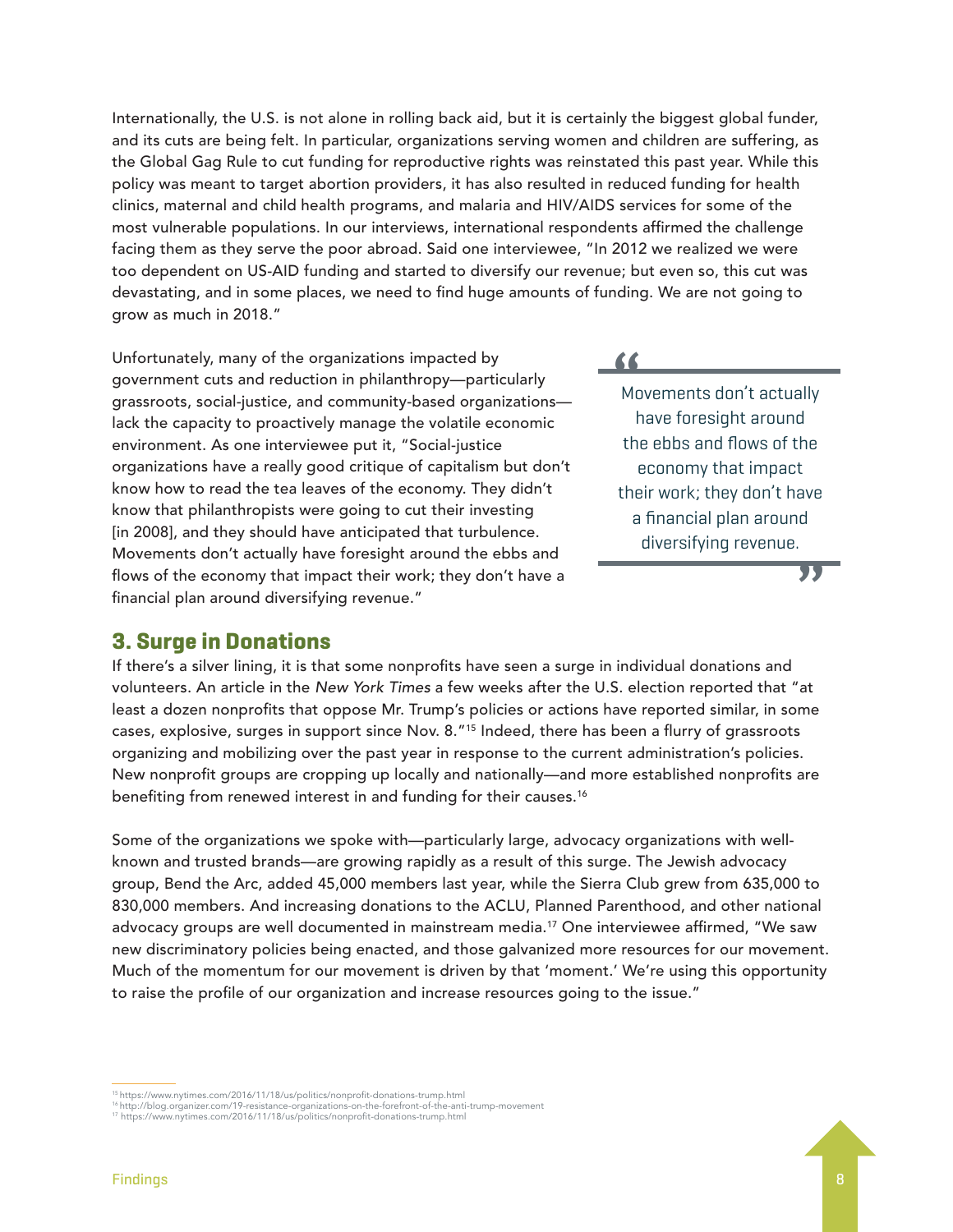Internationally, the U.S. is not alone in rolling back aid, but it is certainly the biggest global funder, and its cuts are being felt. In particular, organizations serving women and children are suffering, as the Global Gag Rule to cut funding for reproductive rights was reinstated this past year. While this policy was meant to target abortion providers, it has also resulted in reduced funding for health clinics, maternal and child health programs, and malaria and HIV/AIDS services for some of the most vulnerable populations. In our interviews, international respondents affirmed the challenge facing them as they serve the poor abroad. Said one interviewee, "In 2012 we realized we were too dependent on US-AID funding and started to diversify our revenue; but even so, this cut was devastating, and in some places, we need to find huge amounts of funding. We are not going to grow as much in 2018."

Unfortunately, many of the organizations impacted by government cuts and reduction in philanthropy—particularly grassroots, social-justice, and community-based organizations lack the capacity to proactively manage the volatile economic environment. As one interviewee put it, "Social-justice organizations have a really good critique of capitalism but don't know how to read the tea leaves of the economy. They didn't know that philanthropists were going to cut their investing [in 2008], and they should have anticipated that turbulence. Movements don't actually have foresight around the ebbs and flows of the economy that impact their work; they don't have a financial plan around diversifying revenue."

### **3. Surge in Donations**

If there's a silver lining, it is that some nonprofits have seen a surge in individual donations and volunteers. An article in the *New York Times* a few weeks after the U.S. election reported that "at least a dozen nonprofits that oppose Mr. Trump's policies or actions have reported similar, in some cases, explosive, surges in support since Nov. 8."15 Indeed, there has been a flurry of grassroots organizing and mobilizing over the past year in response to the current administration's policies. New nonprofit groups are cropping up locally and nationally—and more established nonprofits are benefiting from renewed interest in and funding for their causes.<sup>16</sup>

Some of the organizations we spoke with—particularly large, advocacy organizations with wellknown and trusted brands—are growing rapidly as a result of this surge. The Jewish advocacy group, Bend the Arc, added 45,000 members last year, while the Sierra Club grew from 635,000 to 830,000 members. And increasing donations to the ACLU, Planned Parenthood, and other national advocacy groups are well documented in mainstream media.17 One interviewee affirmed, "We saw new discriminatory policies being enacted, and those galvanized more resources for our movement. Much of the momentum for our movement is driven by that 'moment.' We're using this opportunity to raise the profile of our organization and increase resources going to the issue."

**"** Movements don't actually have foresight around the ebbs and flows of the economy that impact their work; they don't have a financial plan around diversifying revenue.



<sup>15</sup> https://www.nytimes.com/2016/11/18/us/politics/nonprofit-donations-trump.html

<sup>16</sup> http://blog.organizer.com/19-resistance-organizations-on-the-forefront-of-the-anti-trump-movement<br>17 https://www.nytimes.com/2016/11/18/us/politics/nonprofit-donations-trump.html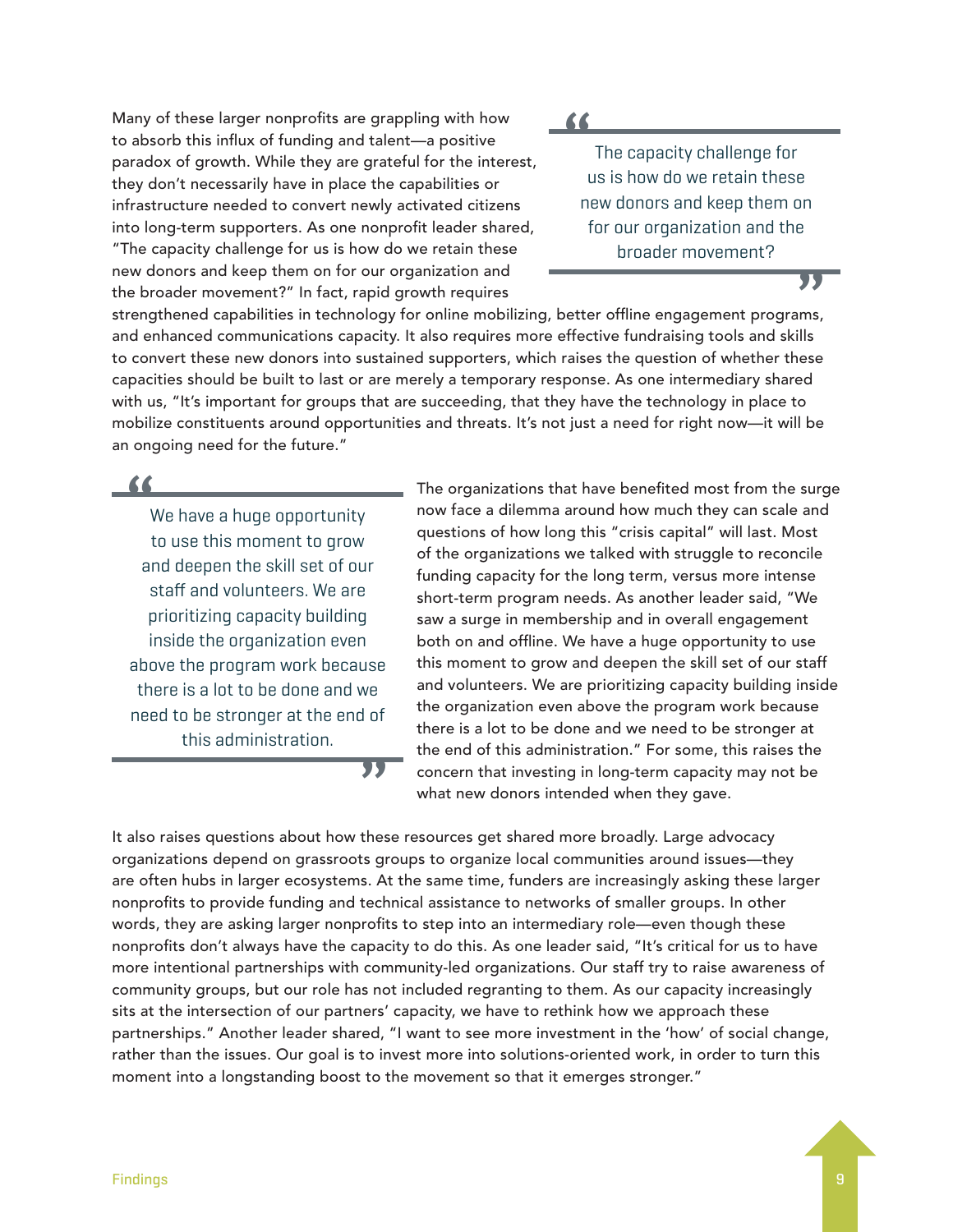Many of these larger nonprofits are grappling with how to absorb this influx of funding and talent—a positive paradox of growth. While they are grateful for the interest, they don't necessarily have in place the capabilities or infrastructure needed to convert newly activated citizens into long-term supporters. As one nonprofit leader shared, "The capacity challenge for us is how do we retain these new donors and keep them on for our organization and the broader movement?" In fact, rapid growth requires

**"**

The capacity challenge for us is how do we retain these new donors and keep them on for our organization and the broader movement?

**"**

strengthened capabilities in technology for online mobilizing, better offline engagement programs, and enhanced communications capacity. It also requires more effective fundraising tools and skills to convert these new donors into sustained supporters, which raises the question of whether these capacities should be built to last or are merely a temporary response. As one intermediary shared with us, "It's important for groups that are succeeding, that they have the technology in place to mobilize constituents around opportunities and threats. It's not just a need for right now—it will be an ongoing need for the future."

**"**

We have a huge opportunity to use this moment to grow and deepen the skill set of our staff and volunteers. We are prioritizing capacity building inside the organization even above the program work because there is a lot to be done and we need to be stronger at the end of this administration. **"** The organizations that have benefited most from the surge now face a dilemma around how much they can scale and questions of how long this "crisis capital" will last. Most of the organizations we talked with struggle to reconcile funding capacity for the long term, versus more intense short-term program needs. As another leader said, "We saw a surge in membership and in overall engagement both on and offline. We have a huge opportunity to use this moment to grow and deepen the skill set of our staff and volunteers. We are prioritizing capacity building inside the organization even above the program work because there is a lot to be done and we need to be stronger at the end of this administration." For some, this raises the concern that investing in long-term capacity may not be what new donors intended when they gave.

It also raises questions about how these resources get shared more broadly. Large advocacy organizations depend on grassroots groups to organize local communities around issues—they are often hubs in larger ecosystems. At the same time, funders are increasingly asking these larger nonprofits to provide funding and technical assistance to networks of smaller groups. In other words, they are asking larger nonprofits to step into an intermediary role—even though these nonprofits don't always have the capacity to do this. As one leader said, "It's critical for us to have more intentional partnerships with community-led organizations. Our staff try to raise awareness of community groups, but our role has not included regranting to them. As our capacity increasingly sits at the intersection of our partners' capacity, we have to rethink how we approach these partnerships." Another leader shared, "I want to see more investment in the 'how' of social change, rather than the issues. Our goal is to invest more into solutions-oriented work, in order to turn this moment into a longstanding boost to the movement so that it emerges stronger."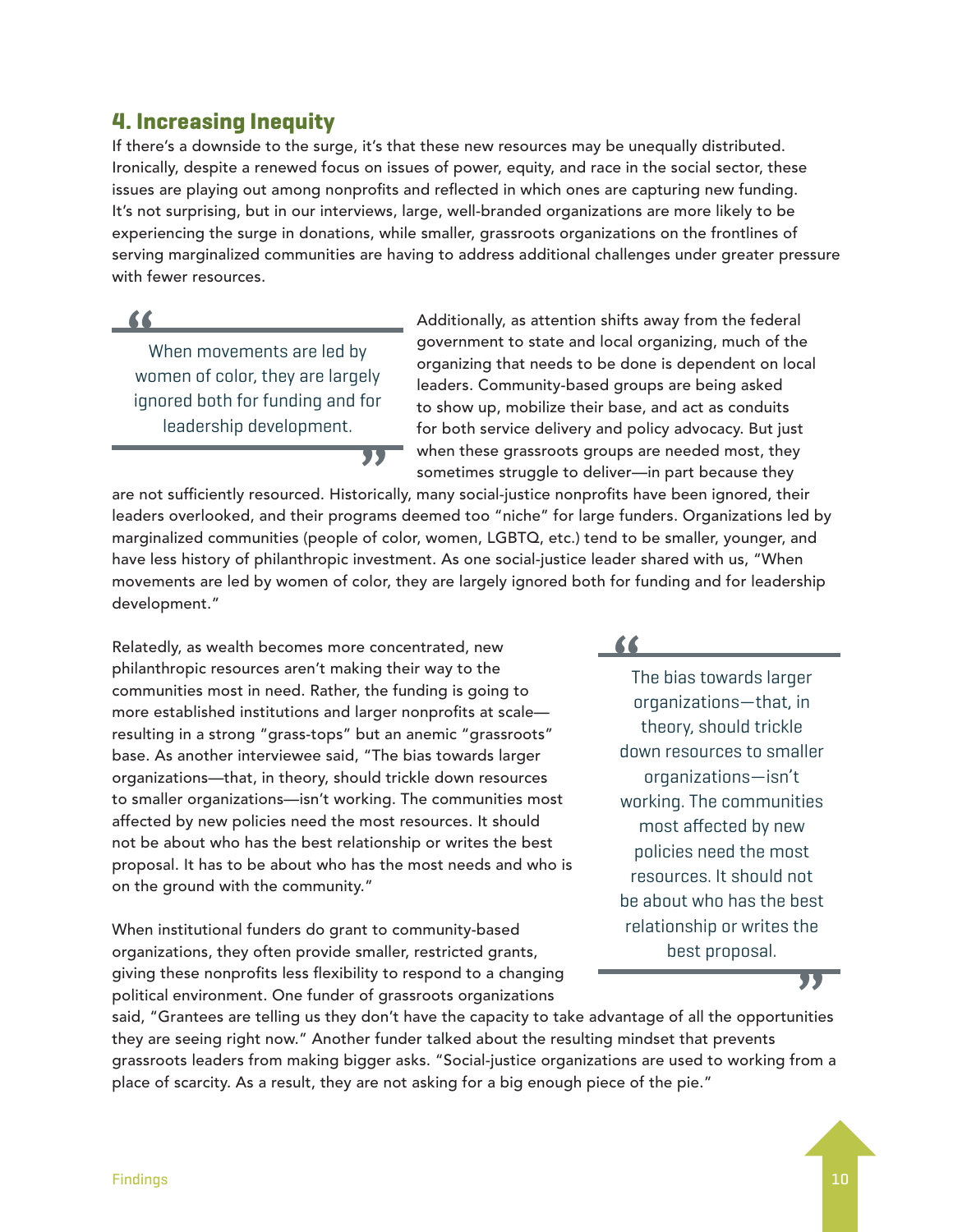### **4. Increasing Inequity**

If there's a downside to the surge, it's that these new resources may be unequally distributed. Ironically, despite a renewed focus on issues of power, equity, and race in the social sector, these issues are playing out among nonprofits and reflected in which ones are capturing new funding. It's not surprising, but in our interviews, large, well-branded organizations are more likely to be experiencing the surge in donations, while smaller, grassroots organizations on the frontlines of serving marginalized communities are having to address additional challenges under greater pressure with fewer resources.



When movements are led by women of color, they are largely ignored both for funding and for leadership development.

Additionally, as attention shifts away from the federal government to state and local organizing, much of the organizing that needs to be done is dependent on local leaders. Community-based groups are being asked to show up, mobilize their base, and act as conduits for both service delivery and policy advocacy. But just when these grassroots groups are needed most, they sometimes struggle to deliver—in part because they

are not sufficiently resourced. Historically, many social-justice nonprofits have been ignored, their leaders overlooked, and their programs deemed too "niche" for large funders. Organizations led by marginalized communities (people of color, women, LGBTQ, etc.) tend to be smaller, younger, and have less history of philanthropic investment. As one social-justice leader shared with us, "When movements are led by women of color, they are largely ignored both for funding and for leadership development."

Relatedly, as wealth becomes more concentrated, new philanthropic resources aren't making their way to the communities most in need. Rather, the funding is going to more established institutions and larger nonprofits at scale resulting in a strong "grass-tops" but an anemic "grassroots" base. As another interviewee said, "The bias towards larger organizations—that, in theory, should trickle down resources to smaller organizations—isn't working. The communities most affected by new policies need the most resources. It should not be about who has the best relationship or writes the best proposal. It has to be about who has the most needs and who is on the ground with the community."

**"**

When institutional funders do grant to community-based organizations, they often provide smaller, restricted grants, giving these nonprofits less flexibility to respond to a changing political environment. One funder of grassroots organizations

### **"**

The bias towards larger organizations—that, in theory, should trickle down resources to smaller organizations—isn't working. The communities most affected by new policies need the most resources. It should not be about who has the best relationship or writes the best proposal. **"**

said, "Grantees are telling us they don't have the capacity to take advantage of all the opportunities they are seeing right now." Another funder talked about the resulting mindset that prevents grassroots leaders from making bigger asks. "Social-justice organizations are used to working from a place of scarcity. As a result, they are not asking for a big enough piece of the pie."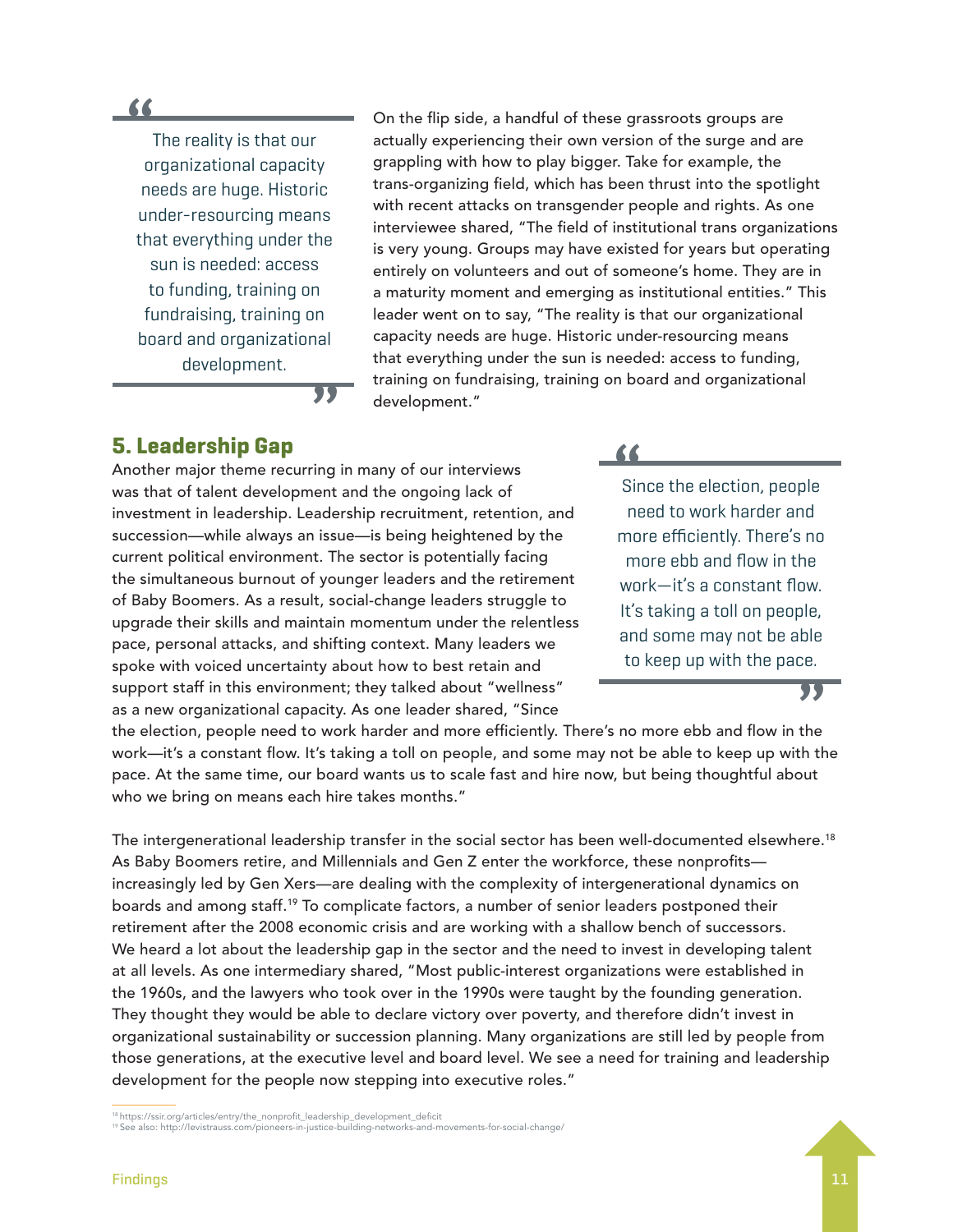### **"**

The reality is that our organizational capacity needs are huge. Historic under-resourcing means that everything under the sun is needed: access to funding, training on fundraising, training on board and organizational development.

On the flip side, a handful of these grassroots groups are actually experiencing their own version of the surge and are grappling with how to play bigger. Take for example, the trans-organizing field, which has been thrust into the spotlight with recent attacks on transgender people and rights. As one interviewee shared, "The field of institutional trans organizations is very young. Groups may have existed for years but operating entirely on volunteers and out of someone's home. They are in a maturity moment and emerging as institutional entities." This leader went on to say, "The reality is that our organizational capacity needs are huge. Historic under-resourcing means that everything under the sun is needed: access to funding, training on fundraising, training on board and organizational development."

**"**

### **5. Leadership Gap**

Another major theme recurring in many of our interviews was that of talent development and the ongoing lack of investment in leadership. Leadership recruitment, retention, and succession—while always an issue—is being heightened by the current political environment. The sector is potentially facing the simultaneous burnout of younger leaders and the retirement of Baby Boomers. As a result, social-change leaders struggle to upgrade their skills and maintain momentum under the relentless pace, personal attacks, and shifting context. Many leaders we spoke with voiced uncertainty about how to best retain and support staff in this environment; they talked about "wellness" as a new organizational capacity. As one leader shared, "Since

**"**

Since the election, people need to work harder and more efficiently. There's no more ebb and flow in the work—it's a constant flow. It's taking a toll on people, and some may not be able to keep up with the pace.

**"**

the election, people need to work harder and more efficiently. There's no more ebb and flow in the work—it's a constant flow. It's taking a toll on people, and some may not be able to keep up with the pace. At the same time, our board wants us to scale fast and hire now, but being thoughtful about who we bring on means each hire takes months."

The intergenerational leadership transfer in the social sector has been well-documented elsewhere.18 As Baby Boomers retire, and Millennials and Gen Z enter the workforce, these nonprofits increasingly led by Gen Xers—are dealing with the complexity of intergenerational dynamics on boards and among staff.19 To complicate factors, a number of senior leaders postponed their retirement after the 2008 economic crisis and are working with a shallow bench of successors. We heard a lot about the leadership gap in the sector and the need to invest in developing talent at all levels. As one intermediary shared, "Most public-interest organizations were established in the 1960s, and the lawyers who took over in the 1990s were taught by the founding generation. They thought they would be able to declare victory over poverty, and therefore didn't invest in organizational sustainability or succession planning. Many organizations are still led by people from those generations, at the executive level and board level. We see a need for training and leadership development for the people now stepping into executive roles."

18 https://ssir.org/articles/entry/the\_nonprofit\_leadership\_development\_deficit

19 See also: http://levistrauss.com/pioneers-in-justice-building-networks-and-movements-for-social-change/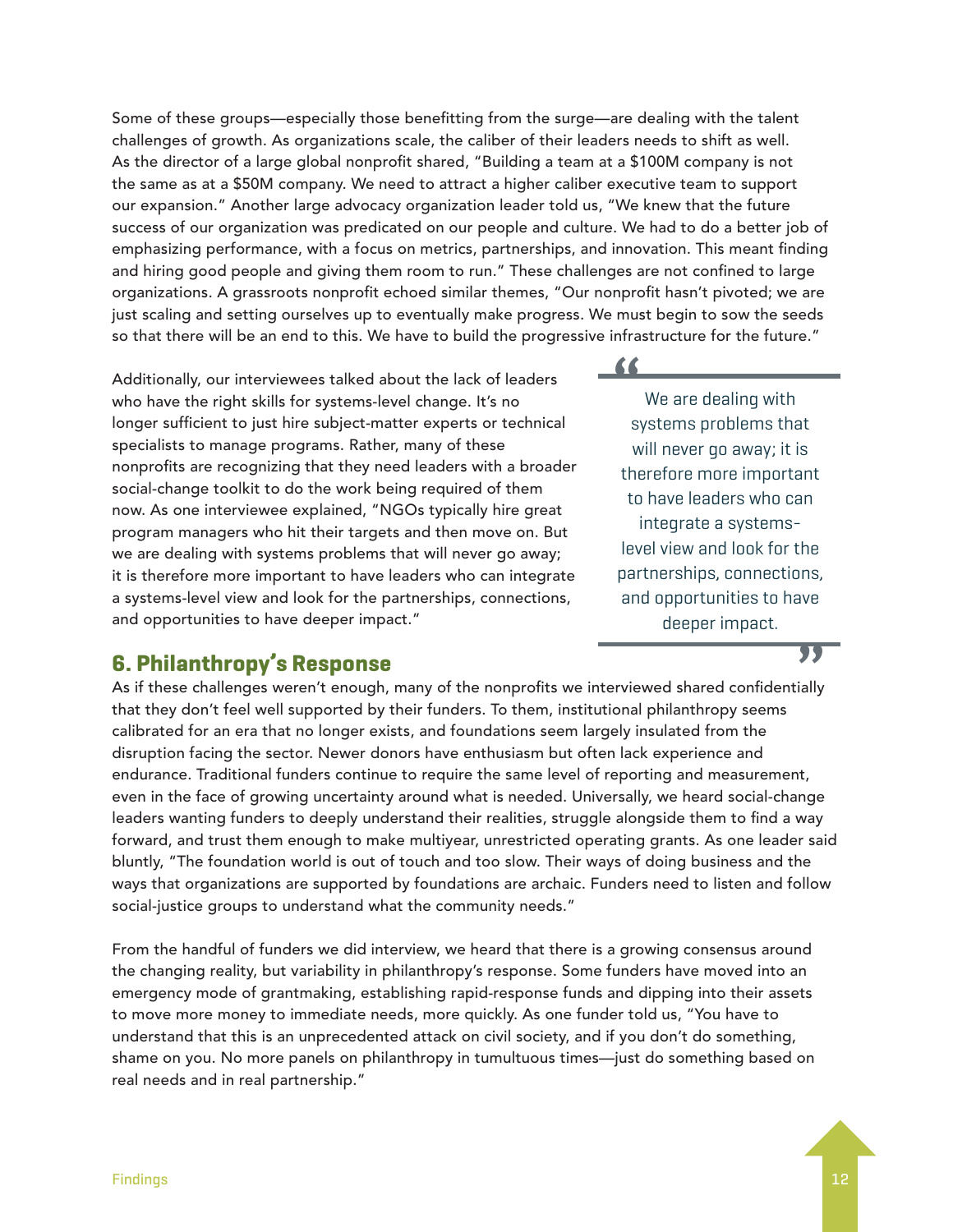Some of these groups—especially those benefitting from the surge—are dealing with the talent challenges of growth. As organizations scale, the caliber of their leaders needs to shift as well. As the director of a large global nonprofit shared, "Building a team at a \$100M company is not the same as at a \$50M company. We need to attract a higher caliber executive team to support our expansion." Another large advocacy organization leader told us, "We knew that the future success of our organization was predicated on our people and culture. We had to do a better job of emphasizing performance, with a focus on metrics, partnerships, and innovation. This meant finding and hiring good people and giving them room to run." These challenges are not confined to large organizations. A grassroots nonprofit echoed similar themes, "Our nonprofit hasn't pivoted; we are just scaling and setting ourselves up to eventually make progress. We must begin to sow the seeds so that there will be an end to this. We have to build the progressive infrastructure for the future."

Additionally, our interviewees talked about the lack of leaders who have the right skills for systems-level change. It's no longer sufficient to just hire subject-matter experts or technical specialists to manage programs. Rather, many of these nonprofits are recognizing that they need leaders with a broader social-change toolkit to do the work being required of them now. As one interviewee explained, "NGOs typically hire great program managers who hit their targets and then move on. But we are dealing with systems problems that will never go away; it is therefore more important to have leaders who can integrate a systems-level view and look for the partnerships, connections, and opportunities to have deeper impact."

### **6. Philanthropy's Response**

As if these challenges weren't enough, many of the nonprofits we interviewed shared confidentially that they don't feel well supported by their funders. To them, institutional philanthropy seems calibrated for an era that no longer exists, and foundations seem largely insulated from the disruption facing the sector. Newer donors have enthusiasm but often lack experience and endurance. Traditional funders continue to require the same level of reporting and measurement, even in the face of growing uncertainty around what is needed. Universally, we heard social-change leaders wanting funders to deeply understand their realities, struggle alongside them to find a way forward, and trust them enough to make multiyear, unrestricted operating grants. As one leader said bluntly, "The foundation world is out of touch and too slow. Their ways of doing business and the ways that organizations are supported by foundations are archaic. Funders need to listen and follow social-justice groups to understand what the community needs."

From the handful of funders we did interview, we heard that there is a growing consensus around the changing reality, but variability in philanthropy's response. Some funders have moved into an emergency mode of grantmaking, establishing rapid-response funds and dipping into their assets to move more money to immediate needs, more quickly. As one funder told us, "You have to understand that this is an unprecedented attack on civil society, and if you don't do something, shame on you. No more panels on philanthropy in tumultuous times—just do something based on real needs and in real partnership."

**"**

We are dealing with systems problems that will never go away; it is therefore more important to have leaders who can integrate a systemslevel view and look for the partnerships, connections, and opportunities to have deeper impact.

**"**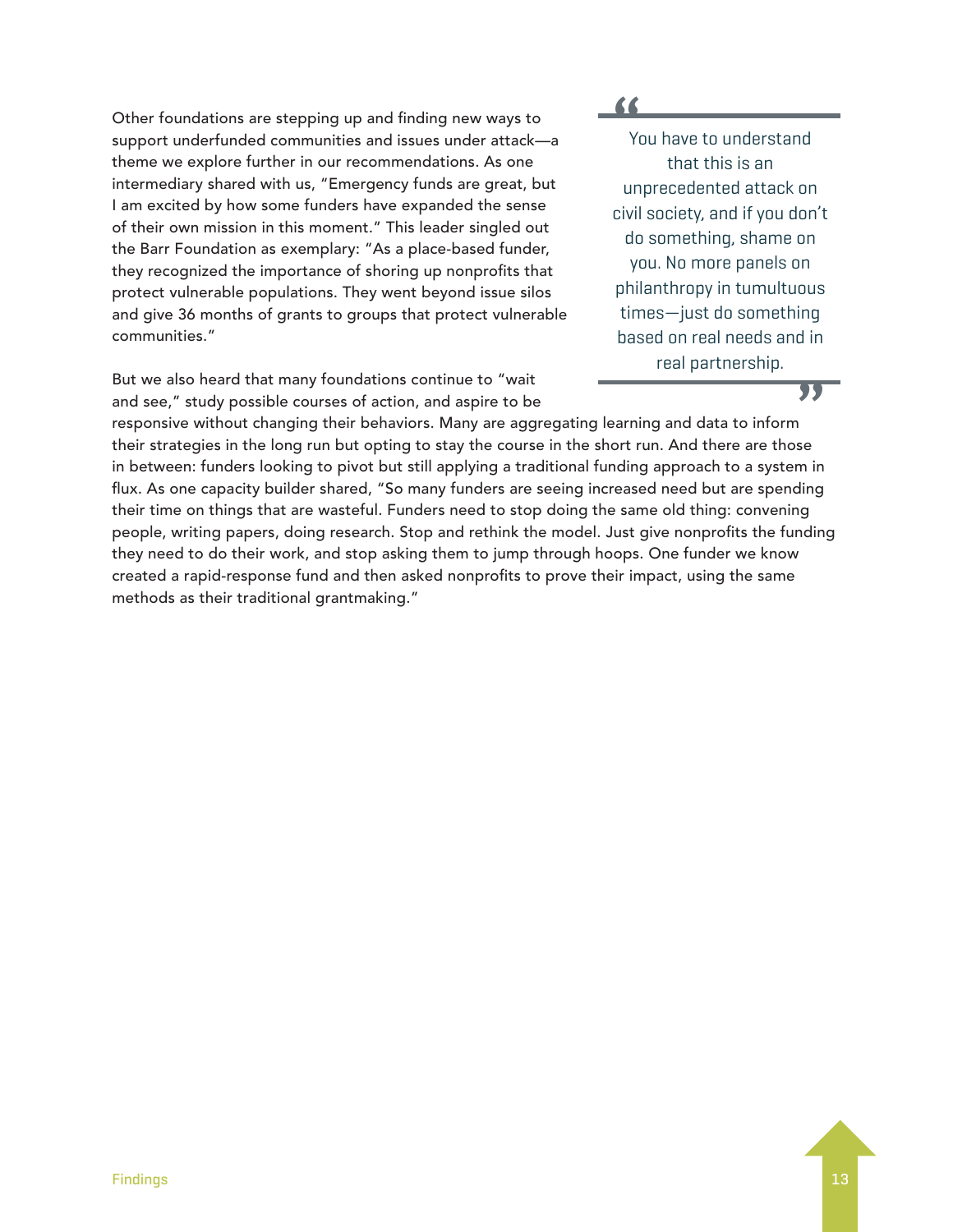Other foundations are stepping up and finding new ways to support underfunded communities and issues under attack—a theme we explore further in our recommendations. As one intermediary shared with us, "Emergency funds are great, but I am excited by how some funders have expanded the sense of their own mission in this moment." This leader singled out the Barr Foundation as exemplary: "As a place-based funder, they recognized the importance of shoring up nonprofits that protect vulnerable populations. They went beyond issue silos and give 36 months of grants to groups that protect vulnerable communities."

But we also heard that many foundations continue to "wait and see," study possible courses of action, and aspire to be

**"** You have to understand that this is an unprecedented attack on civil society, and if you don't do something, shame on you. No more panels on philanthropy in tumultuous times—just do something based on real needs and in real partnership.

### **"**

responsive without changing their behaviors. Many are aggregating learning and data to inform their strategies in the long run but opting to stay the course in the short run. And there are those in between: funders looking to pivot but still applying a traditional funding approach to a system in flux. As one capacity builder shared, "So many funders are seeing increased need but are spending their time on things that are wasteful. Funders need to stop doing the same old thing: convening people, writing papers, doing research. Stop and rethink the model. Just give nonprofits the funding they need to do their work, and stop asking them to jump through hoops. One funder we know created a rapid-response fund and then asked nonprofits to prove their impact, using the same methods as their traditional grantmaking."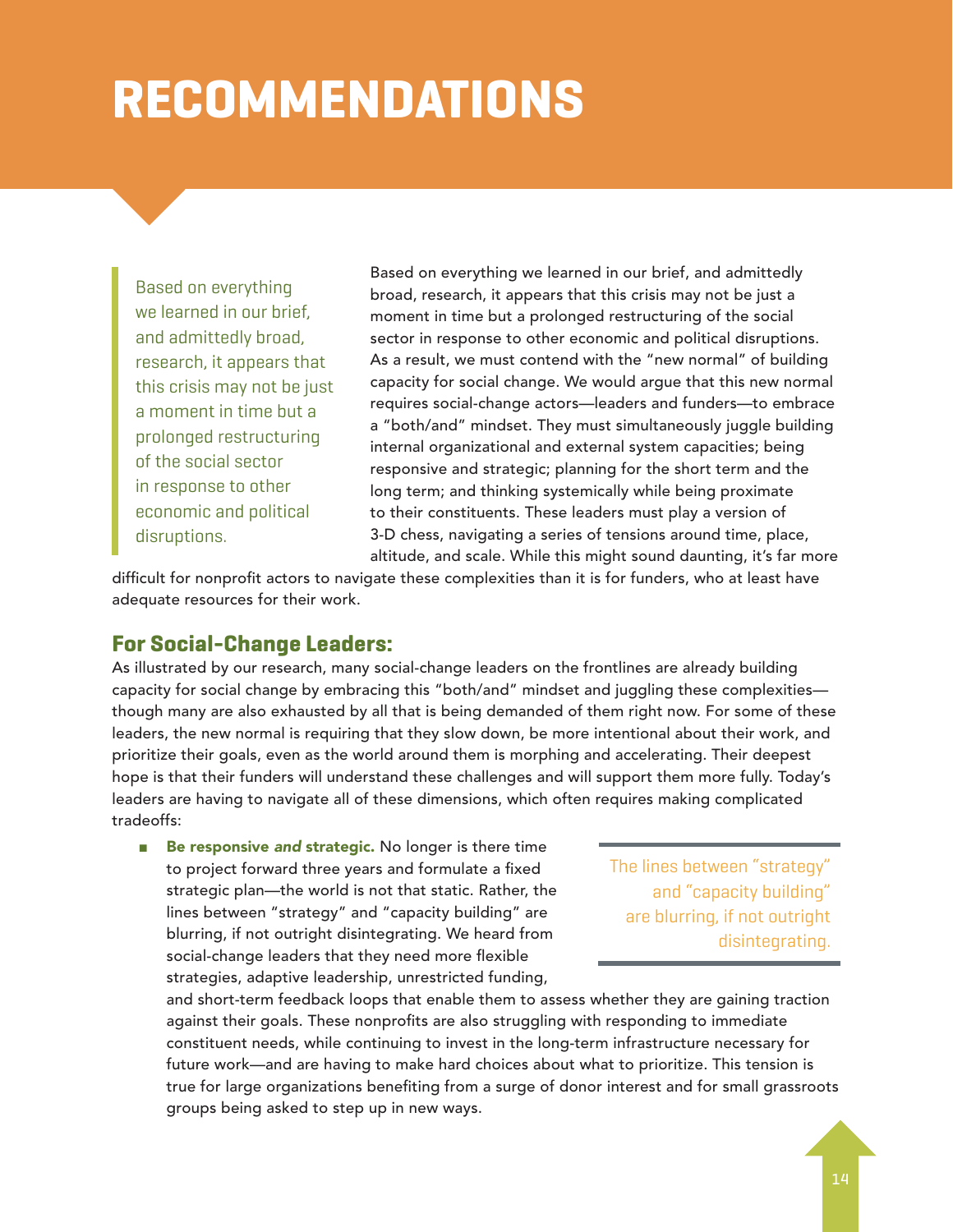### **RECOMMENDATIONS**

Based on everything we learned in our brief, and admittedly broad, research, it appears that this crisis may not be just a moment in time but a prolonged restructuring of the social sector in response to other economic and political disruptions.

Based on everything we learned in our brief, and admittedly broad, research, it appears that this crisis may not be just a moment in time but a prolonged restructuring of the social sector in response to other economic and political disruptions. As a result, we must contend with the "new normal" of building capacity for social change. We would argue that this new normal requires social-change actors—leaders and funders—to embrace a "both/and" mindset. They must simultaneously juggle building internal organizational and external system capacities; being responsive and strategic; planning for the short term and the long term; and thinking systemically while being proximate to their constituents. These leaders must play a version of 3-D chess, navigating a series of tensions around time, place, altitude, and scale. While this might sound daunting, it's far more

difficult for nonprofit actors to navigate these complexities than it is for funders, who at least have adequate resources for their work.

### **For Social-Change Leaders:**

As illustrated by our research, many social-change leaders on the frontlines are already building capacity for social change by embracing this "both/and" mindset and juggling these complexities though many are also exhausted by all that is being demanded of them right now. For some of these leaders, the new normal is requiring that they slow down, be more intentional about their work, and prioritize their goals, even as the world around them is morphing and accelerating. Their deepest hope is that their funders will understand these challenges and will support them more fully. Today's leaders are having to navigate all of these dimensions, which often requires making complicated tradeoffs:

■ Be responsive and strategic. No longer is there time to project forward three years and formulate a fixed strategic plan—the world is not that static. Rather, the lines between "strategy" and "capacity building" are blurring, if not outright disintegrating. We heard from social-change leaders that they need more flexible strategies, adaptive leadership, unrestricted funding,

The lines between "strategy" and "capacity building" are blurring, if not outright disintegrating.

and short-term feedback loops that enable them to assess whether they are gaining traction against their goals. These nonprofits are also struggling with responding to immediate constituent needs, while continuing to invest in the long-term infrastructure necessary for future work—and are having to make hard choices about what to prioritize. This tension is true for large organizations benefiting from a surge of donor interest and for small grassroots groups being asked to step up in new ways.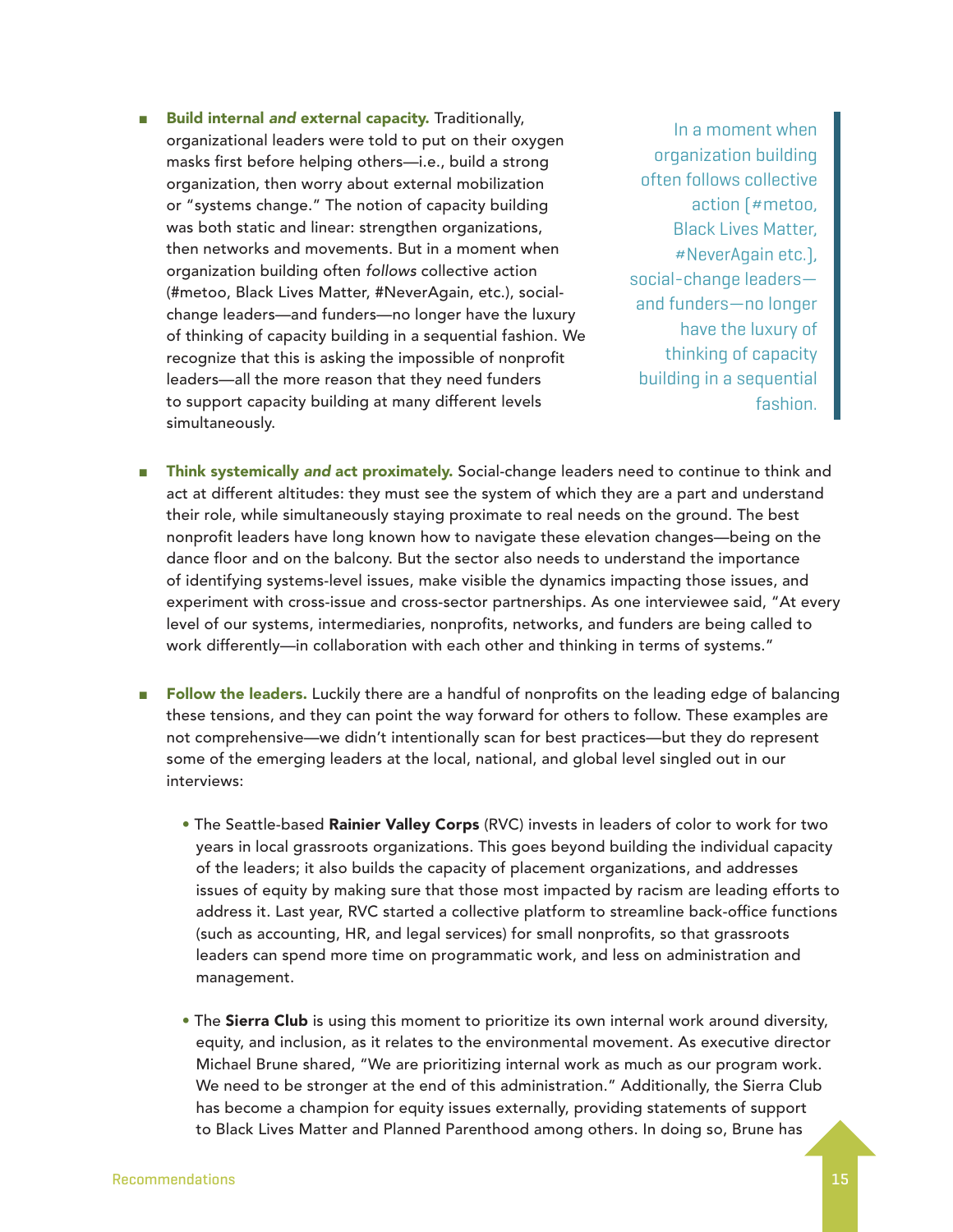**Build internal and external capacity.** Traditionally, organizational leaders were told to put on their oxygen masks first before helping others—i.e., build a strong organization, then worry about external mobilization or "systems change." The notion of capacity building was both static and linear: strengthen organizations, then networks and movements. But in a moment when organization building often *follows* collective action (#metoo, Black Lives Matter, #NeverAgain, etc.), socialchange leaders—and funders—no longer have the luxury of thinking of capacity building in a sequential fashion. We recognize that this is asking the impossible of nonprofit leaders—all the more reason that they need funders to support capacity building at many different levels simultaneously.

In a moment when organization building often follows collective action (#metoo, Black Lives Matter, #NeverAgain etc.), social-change leaders and funders—no longer have the luxury of thinking of capacity building in a sequential fashion.

- Think systemically *and* act proximately. Social-change leaders need to continue to think and act at different altitudes: they must see the system of which they are a part and understand their role, while simultaneously staying proximate to real needs on the ground. The best nonprofit leaders have long known how to navigate these elevation changes—being on the dance floor and on the balcony. But the sector also needs to understand the importance of identifying systems-level issues, make visible the dynamics impacting those issues, and experiment with cross-issue and cross-sector partnerships. As one interviewee said, "At every level of our systems, intermediaries, nonprofits, networks, and funders are being called to work differently—in collaboration with each other and thinking in terms of systems."
- Follow the leaders. Luckily there are a handful of nonprofits on the leading edge of balancing these tensions, and they can point the way forward for others to follow. These examples are not comprehensive—we didn't intentionally scan for best practices—but they do represent some of the emerging leaders at the local, national, and global level singled out in our interviews:
	- The Seattle-based Rainier Valley Corps (RVC) invests in leaders of color to work for two years in local grassroots organizations. This goes beyond building the individual capacity of the leaders; it also builds the capacity of placement organizations, and addresses issues of equity by making sure that those most impacted by racism are leading efforts to address it. Last year, RVC started a collective platform to streamline back-office functions (such as accounting, HR, and legal services) for small nonprofits, so that grassroots leaders can spend more time on programmatic work, and less on administration and management.
	- The Sierra Club is using this moment to prioritize its own internal work around diversity, equity, and inclusion, as it relates to the environmental movement. As executive director Michael Brune shared, "We are prioritizing internal work as much as our program work. We need to be stronger at the end of this administration." Additionally, the Sierra Club has become a champion for equity issues externally, providing statements of support to Black Lives Matter and Planned Parenthood among others. In doing so, Brune has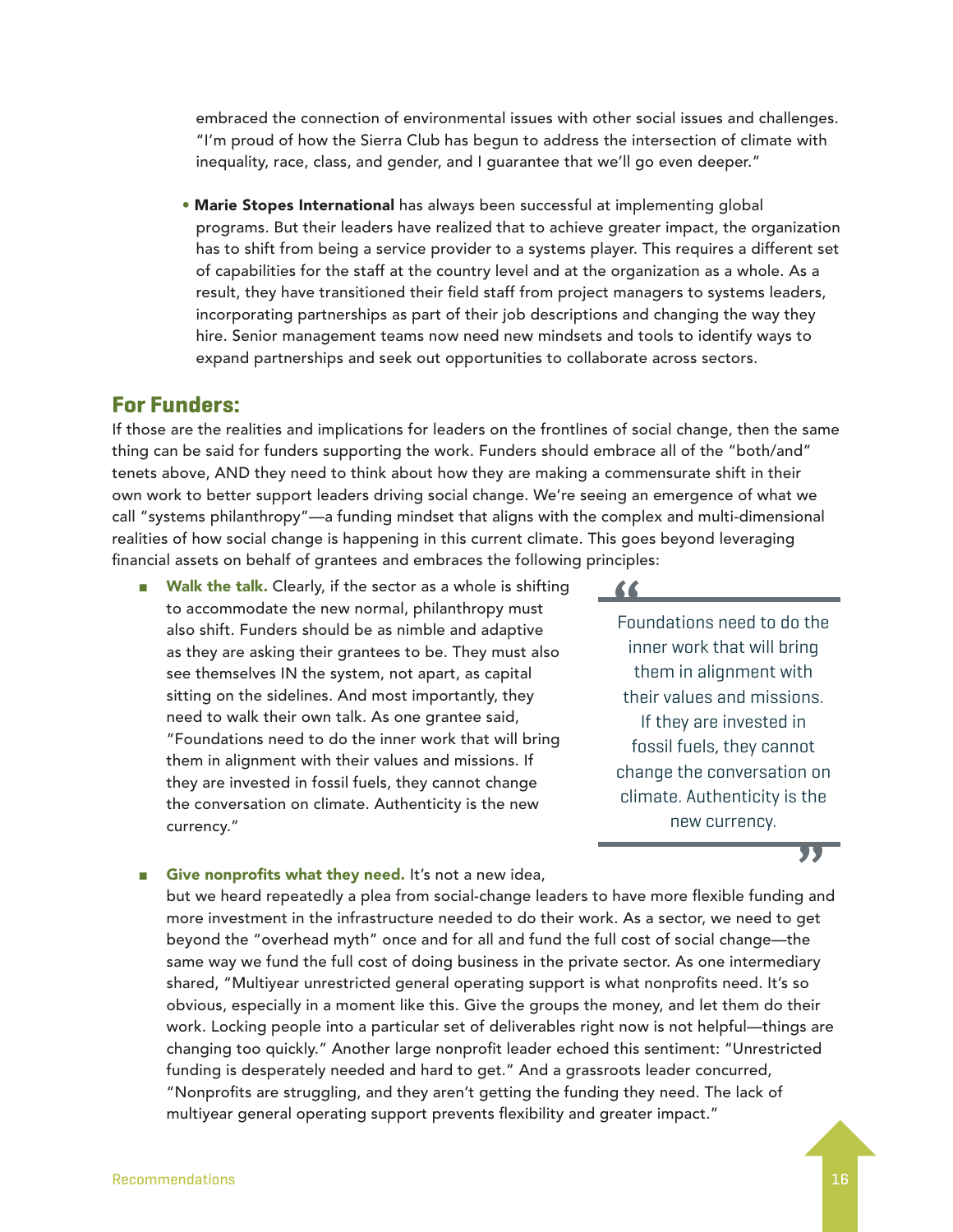embraced the connection of environmental issues with other social issues and challenges. "I'm proud of how the Sierra Club has begun to address the intersection of climate with inequality, race, class, and gender, and I guarantee that we'll go even deeper."

**• Marie Stopes International** has always been successful at implementing global programs. But their leaders have realized that to achieve greater impact, the organization has to shift from being a service provider to a systems player. This requires a different set of capabilities for the staff at the country level and at the organization as a whole. As a result, they have transitioned their field staff from project managers to systems leaders, incorporating partnerships as part of their job descriptions and changing the way they hire. Senior management teams now need new mindsets and tools to identify ways to expand partnerships and seek out opportunities to collaborate across sectors.

### **For Funders:**

If those are the realities and implications for leaders on the frontlines of social change, then the same thing can be said for funders supporting the work. Funders should embrace all of the "both/and" tenets above, AND they need to think about how they are making a commensurate shift in their own work to better support leaders driving social change. We're seeing an emergence of what we call "systems philanthropy"—a funding mindset that aligns with the complex and multi-dimensional realities of how social change is happening in this current climate. This goes beyond leveraging financial assets on behalf of grantees and embraces the following principles:

■ Walk the talk. Clearly, if the sector as a whole is shifting to accommodate the new normal, philanthropy must also shift. Funders should be as nimble and adaptive as they are asking their grantees to be. They must also see themselves IN the system, not apart, as capital sitting on the sidelines. And most importantly, they need to walk their own talk. As one grantee said, "Foundations need to do the inner work that will bring them in alignment with their values and missions. If they are invested in fossil fuels, they cannot change the conversation on climate. Authenticity is the new currency."

**"** Foundations need to do the inner work that will bring them in alignment with their values and missions. If they are invested in fossil fuels, they cannot change the conversation on climate. Authenticity is the new currency.

### **"**

### Give nonprofits what they need. It's not a new idea,

but we heard repeatedly a plea from social-change leaders to have more flexible funding and more investment in the infrastructure needed to do their work. As a sector, we need to get beyond the "overhead myth" once and for all and fund the full cost of social change—the same way we fund the full cost of doing business in the private sector. As one intermediary shared, "Multiyear unrestricted general operating support is what nonprofits need. It's so obvious, especially in a moment like this. Give the groups the money, and let them do their work. Locking people into a particular set of deliverables right now is not helpful—things are changing too quickly." Another large nonprofit leader echoed this sentiment: "Unrestricted funding is desperately needed and hard to get." And a grassroots leader concurred, "Nonprofits are struggling, and they aren't getting the funding they need. The lack of multiyear general operating support prevents flexibility and greater impact."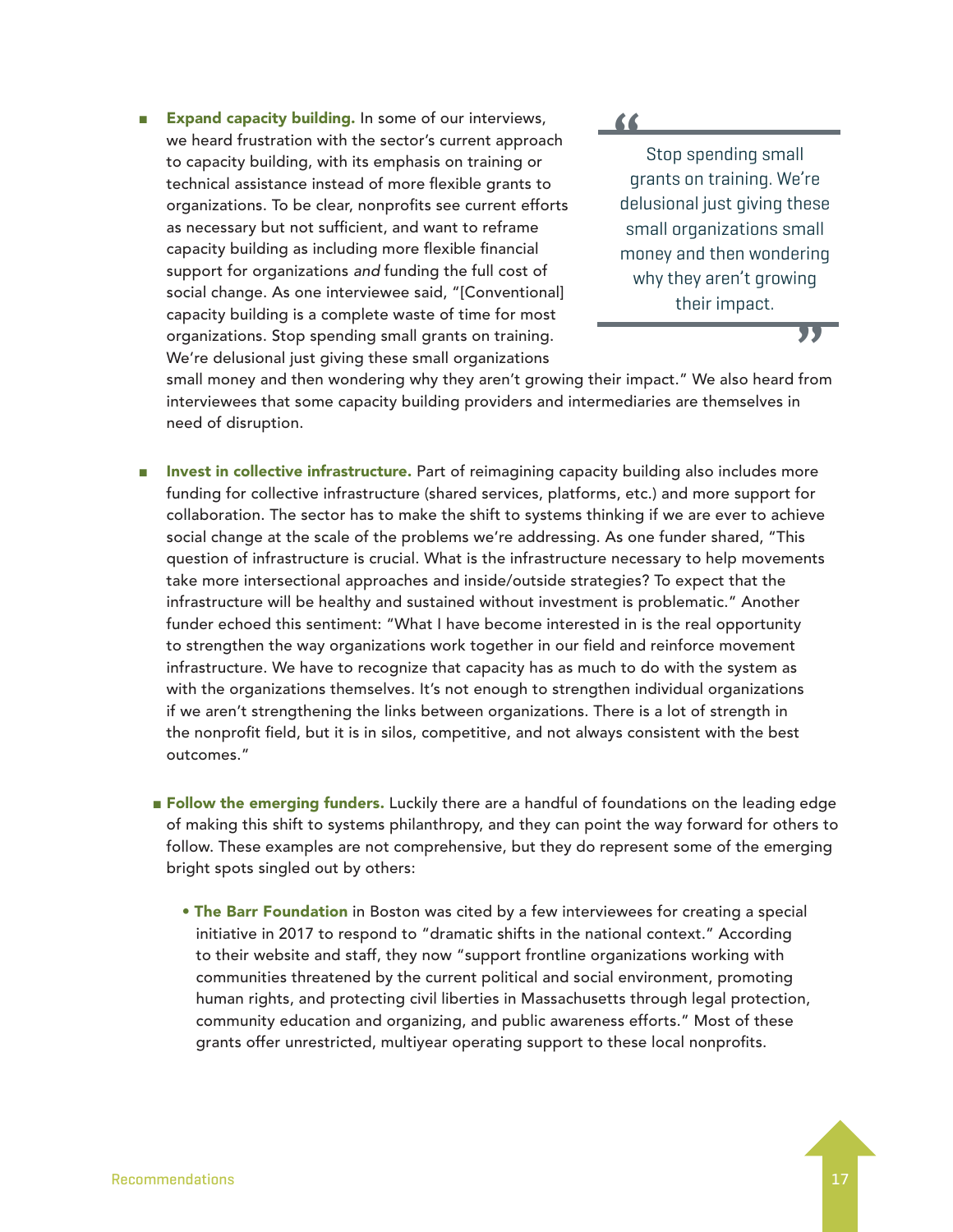Expand capacity building. In some of our interviews, we heard frustration with the sector's current approach to capacity building, with its emphasis on training or technical assistance instead of more flexible grants to organizations. To be clear, nonprofits see current efforts as necessary but not sufficient, and want to reframe capacity building as including more flexible financial support for organizations *and* funding the full cost of social change. As one interviewee said, "[Conventional] capacity building is a complete waste of time for most organizations. Stop spending small grants on training. We're delusional just giving these small organizations

**"**

Stop spending small grants on training. We're delusional just giving these small organizations small money and then wondering why they aren't growing their impact.

**"**

small money and then wondering why they aren't growing their impact." We also heard from interviewees that some capacity building providers and intermediaries are themselves in need of disruption.

- Invest in collective infrastructure. Part of reimagining capacity building also includes more funding for collective infrastructure (shared services, platforms, etc.) and more support for collaboration. The sector has to make the shift to systems thinking if we are ever to achieve social change at the scale of the problems we're addressing. As one funder shared, "This question of infrastructure is crucial. What is the infrastructure necessary to help movements take more intersectional approaches and inside/outside strategies? To expect that the infrastructure will be healthy and sustained without investment is problematic." Another funder echoed this sentiment: "What I have become interested in is the real opportunity to strengthen the way organizations work together in our field and reinforce movement infrastructure. We have to recognize that capacity has as much to do with the system as with the organizations themselves. It's not enough to strengthen individual organizations if we aren't strengthening the links between organizations. There is a lot of strength in the nonprofit field, but it is in silos, competitive, and not always consistent with the best outcomes."
	- Follow the emerging funders. Luckily there are a handful of foundations on the leading edge of making this shift to systems philanthropy, and they can point the way forward for others to follow. These examples are not comprehensive, but they do represent some of the emerging bright spots singled out by others:
		- The Barr Foundation in Boston was cited by a few interviewees for creating a special initiative in 2017 to respond to "dramatic shifts in the national context." According to their website and staff, they now "support frontline organizations working with communities threatened by the current political and social environment, promoting human rights, and protecting civil liberties in Massachusetts through legal protection, community education and organizing, and public awareness efforts." Most of these grants offer unrestricted, multiyear operating support to these local nonprofits.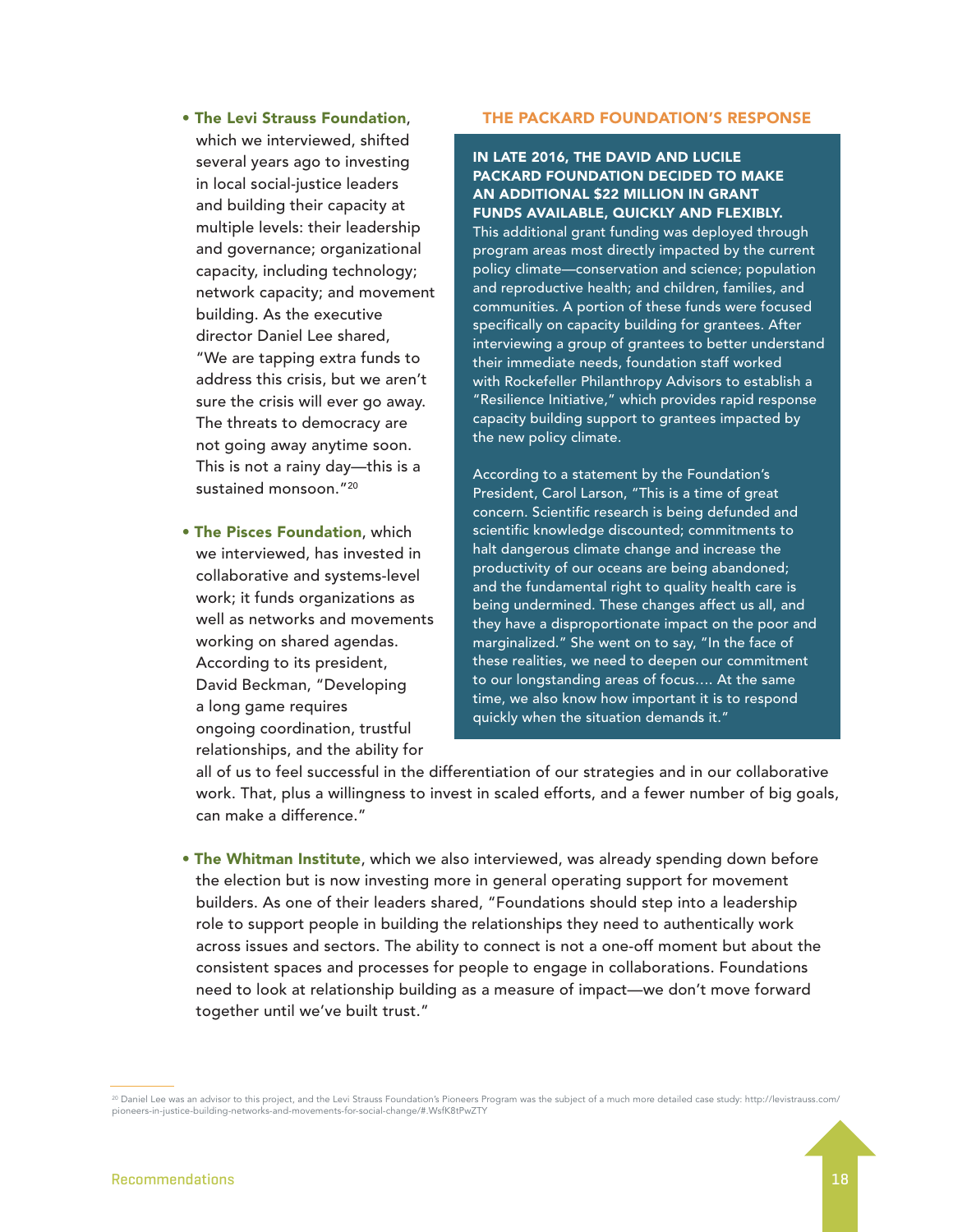- The Levi Strauss Foundation, which we interviewed, shifted several years ago to investing in local social-justice leaders and building their capacity at multiple levels: their leadership and governance; organizational capacity, including technology; network capacity; and movement building. As the executive director Daniel Lee shared, "We are tapping extra funds to address this crisis, but we aren't sure the crisis will ever go away. The threats to democracy are not going away anytime soon. This is not a rainy day—this is a sustained monsoon."20
- The Pisces Foundation, which we interviewed, has invested in collaborative and systems-level work; it funds organizations as well as networks and movements working on shared agendas. According to its president, David Beckman, "Developing a long game requires ongoing coordination, trustful relationships, and the ability for

#### THE PACKARD FOUNDATION'S RESPONSE

#### IN LATE 2016, THE DAVID AND LUCILE PACKARD FOUNDATION DECIDED TO MAKE AN ADDITIONAL \$22 MILLION IN GRANT FUNDS AVAILABLE, QUICKLY AND FLEXIBLY.

This additional grant funding was deployed through program areas most directly impacted by the current policy climate—conservation and science; population and reproductive health; and children, families, and communities. A portion of these funds were focused specifically on capacity building for grantees. After interviewing a group of grantees to better understand their immediate needs, foundation staff worked with Rockefeller Philanthropy Advisors to establish a "Resilience Initiative," which provides rapid response capacity building support to grantees impacted by the new policy climate.

According to a statement by the Foundation's President, Carol Larson, "This is a time of great concern. Scientific research is being defunded and scientific knowledge discounted; commitments to halt dangerous climate change and increase the productivity of our oceans are being abandoned; and the fundamental right to quality health care is being undermined. These changes affect us all, and they have a disproportionate impact on the poor and marginalized." She went on to say, "In the face of these realities, we need to deepen our commitment to our longstanding areas of focus…. At the same time, we also know how important it is to respond quickly when the situation demands it."

all of us to feel successful in the differentiation of our strategies and in our collaborative work. That, plus a willingness to invest in scaled efforts, and a fewer number of big goals, can make a difference."

• The Whitman Institute, which we also interviewed, was already spending down before the election but is now investing more in general operating support for movement builders. As one of their leaders shared, "Foundations should step into a leadership role to support people in building the relationships they need to authentically work across issues and sectors. The ability to connect is not a one-off moment but about the consistent spaces and processes for people to engage in collaborations. Foundations need to look at relationship building as a measure of impact—we don't move forward together until we've built trust."

<sup>&</sup>lt;sup>20</sup> Daniel Lee was an advisor to this project, and the Levi Strauss Foundation's Pioneers Program was the subject of a much more detailed case study: http://levistrauss.com/ pioneers-in-justice-building-networks-and-movements-for-social-change/#.WsfK8tPwZTY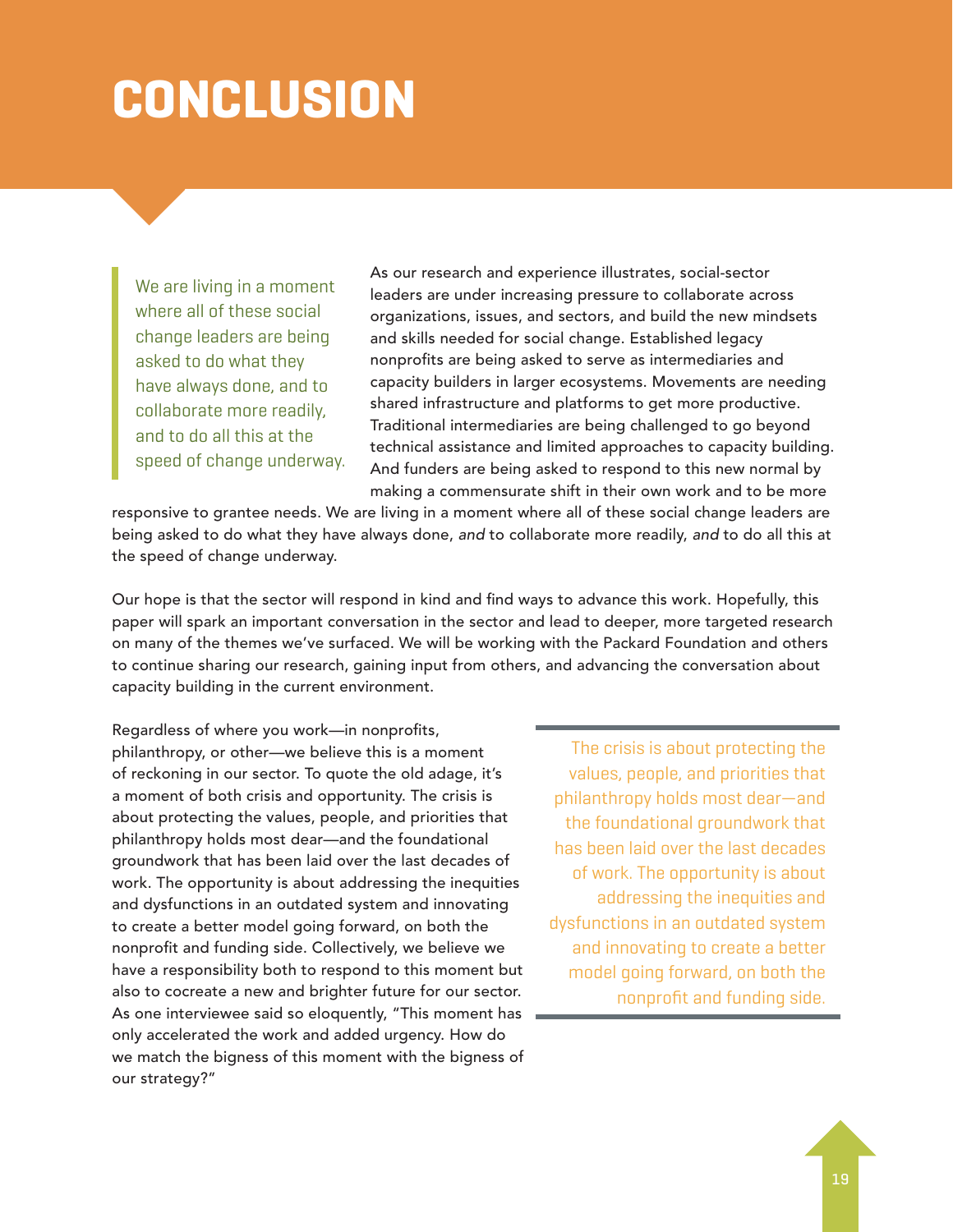## **CONCLUSION**

We are living in a moment where all of these social change leaders are being asked to do what they have always done, and to collaborate more readily, and to do all this at the speed of change underway. As our research and experience illustrates, social-sector leaders are under increasing pressure to collaborate across organizations, issues, and sectors, and build the new mindsets and skills needed for social change. Established legacy nonprofits are being asked to serve as intermediaries and capacity builders in larger ecosystems. Movements are needing shared infrastructure and platforms to get more productive. Traditional intermediaries are being challenged to go beyond technical assistance and limited approaches to capacity building. And funders are being asked to respond to this new normal by making a commensurate shift in their own work and to be more

responsive to grantee needs. We are living in a moment where all of these social change leaders are being asked to do what they have always done, *and* to collaborate more readily, *and* to do all this at the speed of change underway.

Our hope is that the sector will respond in kind and find ways to advance this work. Hopefully, this paper will spark an important conversation in the sector and lead to deeper, more targeted research on many of the themes we've surfaced. We will be working with the Packard Foundation and others to continue sharing our research, gaining input from others, and advancing the conversation about capacity building in the current environment.

Regardless of where you work—in nonprofits, philanthropy, or other—we believe this is a moment of reckoning in our sector. To quote the old adage, it's a moment of both crisis and opportunity. The crisis is about protecting the values, people, and priorities that philanthropy holds most dear—and the foundational groundwork that has been laid over the last decades of work. The opportunity is about addressing the inequities and dysfunctions in an outdated system and innovating to create a better model going forward, on both the nonprofit and funding side. Collectively, we believe we have a responsibility both to respond to this moment but also to cocreate a new and brighter future for our sector. As one interviewee said so eloquently, "This moment has only accelerated the work and added urgency. How do we match the bigness of this moment with the bigness of our strategy?"

The crisis is about protecting the values, people, and priorities that philanthropy holds most dear—and the foundational groundwork that has been laid over the last decades of work. The opportunity is about addressing the inequities and dysfunctions in an outdated system and innovating to create a better model going forward, on both the nonprofit and funding side.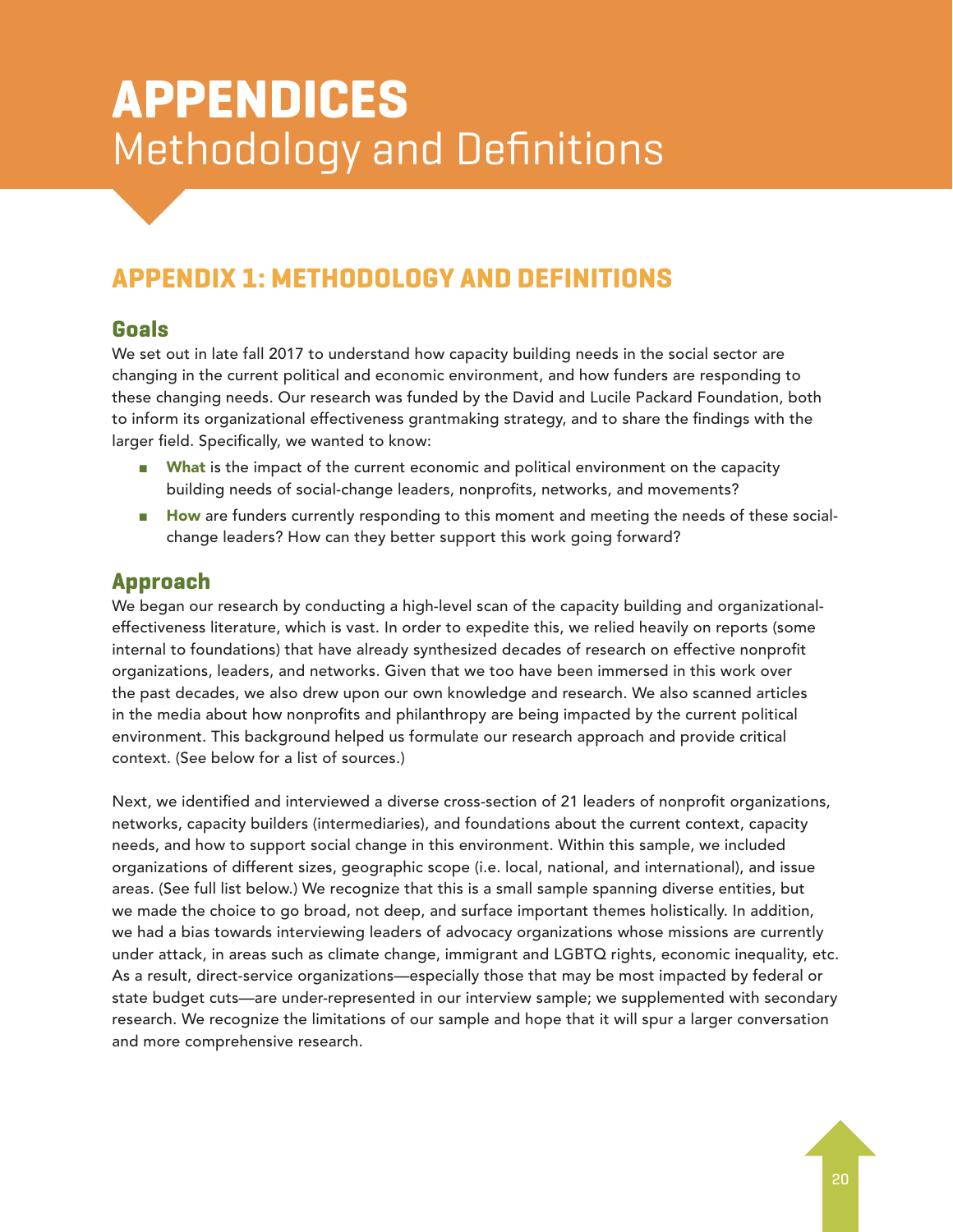### **APPENDICES** Methodology and Definitions

### **APPENDIX 1: METHODOLOGY AND DEFINITIONS**

### **Goals**

We set out in late fall 2017 to understand how capacity building needs in the social sector are changing in the current political and economic environment, and how funders are responding to these changing needs. Our research was funded by the David and Lucile Packard Foundation, both to inform its organizational effectiveness grantmaking strategy, and to share the findings with the larger field. Specifically, we wanted to know:

- What is the impact of the current economic and political environment on the capacity building needs of social-change leaders, nonprofits, networks, and movements?
- How are funders currently responding to this moment and meeting the needs of these socialchange leaders? How can they better support this work going forward?

### **Approach**

We began our research by conducting a high-level scan of the capacity building and organizationaleffectiveness literature, which is vast. In order to expedite this, we relied heavily on reports (some internal to foundations) that have already synthesized decades of research on effective nonprofit organizations, leaders, and networks. Given that we too have been immersed in this work over the past decades, we also drew upon our own knowledge and research. We also scanned articles in the media about how nonprofits and philanthropy are being impacted by the current political environment. This background helped us formulate our research approach and provide critical context. (See below for a list of sources.)

Next, we identified and interviewed a diverse cross-section of 21 leaders of nonprofit organizations, networks, capacity builders (intermediaries), and foundations about the current context, capacity needs, and how to support social change in this environment. Within this sample, we included organizations of different sizes, geographic scope (i.e. local, national, and international), and issue areas. (See full list below.) We recognize that this is a small sample spanning diverse entities, but we made the choice to go broad, not deep, and surface important themes holistically. In addition, we had a bias towards interviewing leaders of advocacy organizations whose missions are currently under attack, in areas such as climate change, immigrant and LGBTQ rights, economic inequality, etc. As a result, direct-service organizations—especially those that may be most impacted by federal or state budget cuts—are under-represented in our interview sample; we supplemented with secondary research. We recognize the limitations of our sample and hope that it will spur a larger conversation and more comprehensive research.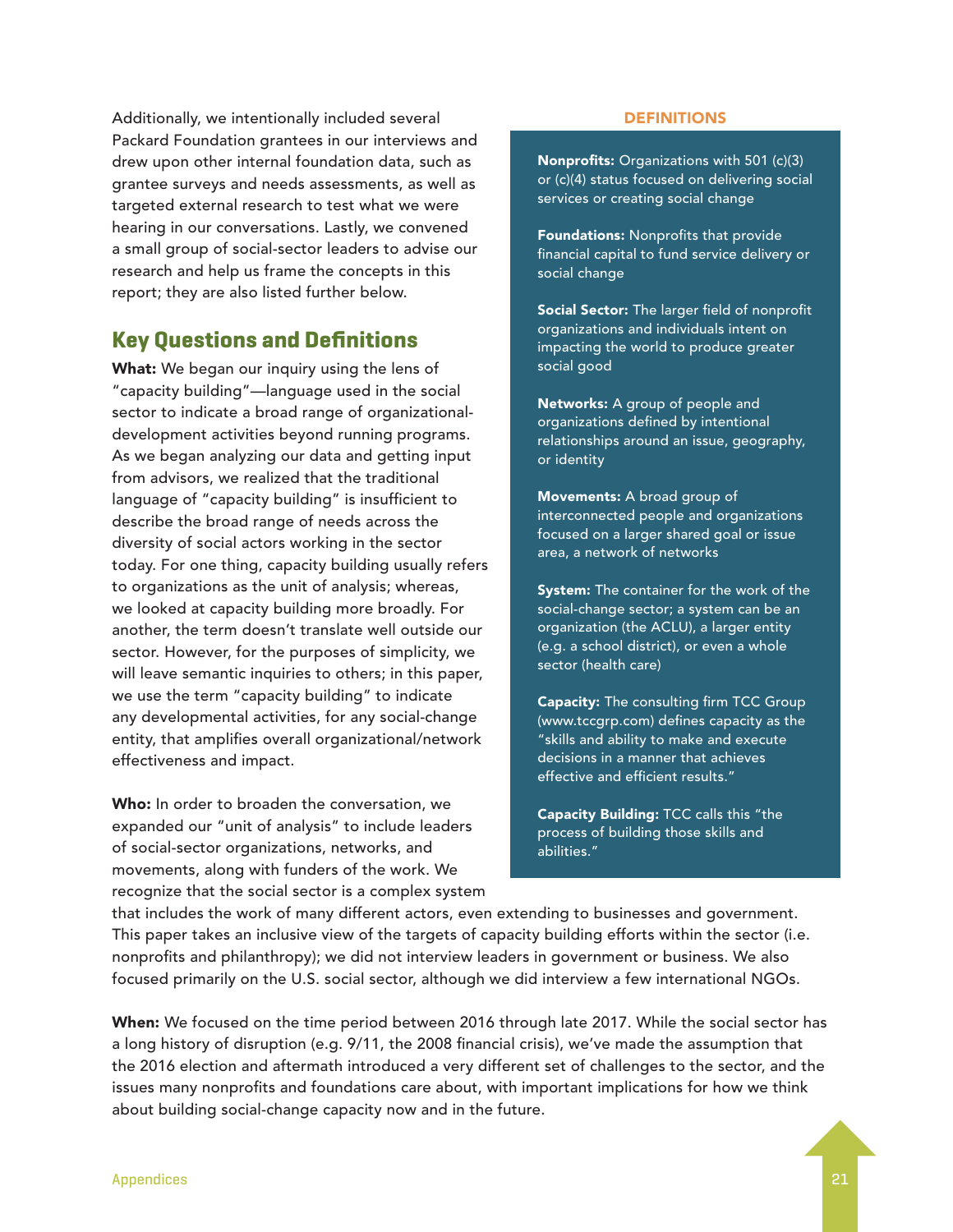Additionally, we intentionally included several Packard Foundation grantees in our interviews and drew upon other internal foundation data, such as grantee surveys and needs assessments, as well as targeted external research to test what we were hearing in our conversations. Lastly, we convened a small group of social-sector leaders to advise our research and help us frame the concepts in this report; they are also listed further below.

### **Key Questions and Definitions**

What: We began our inquiry using the lens of "capacity building"—language used in the social sector to indicate a broad range of organizationaldevelopment activities beyond running programs. As we began analyzing our data and getting input from advisors, we realized that the traditional language of "capacity building" is insufficient to describe the broad range of needs across the diversity of social actors working in the sector today. For one thing, capacity building usually refers to organizations as the unit of analysis; whereas, we looked at capacity building more broadly. For another, the term doesn't translate well outside our sector. However, for the purposes of simplicity, we will leave semantic inquiries to others; in this paper, we use the term "capacity building" to indicate any developmental activities, for any social-change entity, that amplifies overall organizational/network effectiveness and impact.

Who: In order to broaden the conversation, we expanded our "unit of analysis" to include leaders of social-sector organizations, networks, and movements, along with funders of the work. We recognize that the social sector is a complex system

#### **DEFINITIONS**

Nonprofits: Organizations with 501 (c)(3) or (c)(4) status focused on delivering social services or creating social change

Foundations: Nonprofits that provide financial capital to fund service delivery or social change

Social Sector: The larger field of nonprofit organizations and individuals intent on impacting the world to produce greater social good

Networks: A group of people and organizations defined by intentional relationships around an issue, geography, or identity

Movements: A broad group of interconnected people and organizations focused on a larger shared goal or issue area, a network of networks

System: The container for the work of the social-change sector; a system can be an organization (the ACLU), a larger entity (e.g. a school district), or even a whole sector (health care)

Capacity: The consulting firm TCC Group (www.tccgrp.com) defines capacity as the "skills and ability to make and execute decisions in a manner that achieves effective and efficient results."

Capacity Building: TCC calls this "the process of building those skills and abilities."

that includes the work of many different actors, even extending to businesses and government. This paper takes an inclusive view of the targets of capacity building efforts within the sector (i.e. nonprofits and philanthropy); we did not interview leaders in government or business. We also focused primarily on the U.S. social sector, although we did interview a few international NGOs.

When: We focused on the time period between 2016 through late 2017. While the social sector has a long history of disruption (e.g. 9/11, the 2008 financial crisis), we've made the assumption that the 2016 election and aftermath introduced a very different set of challenges to the sector, and the issues many nonprofits and foundations care about, with important implications for how we think about building social-change capacity now and in the future.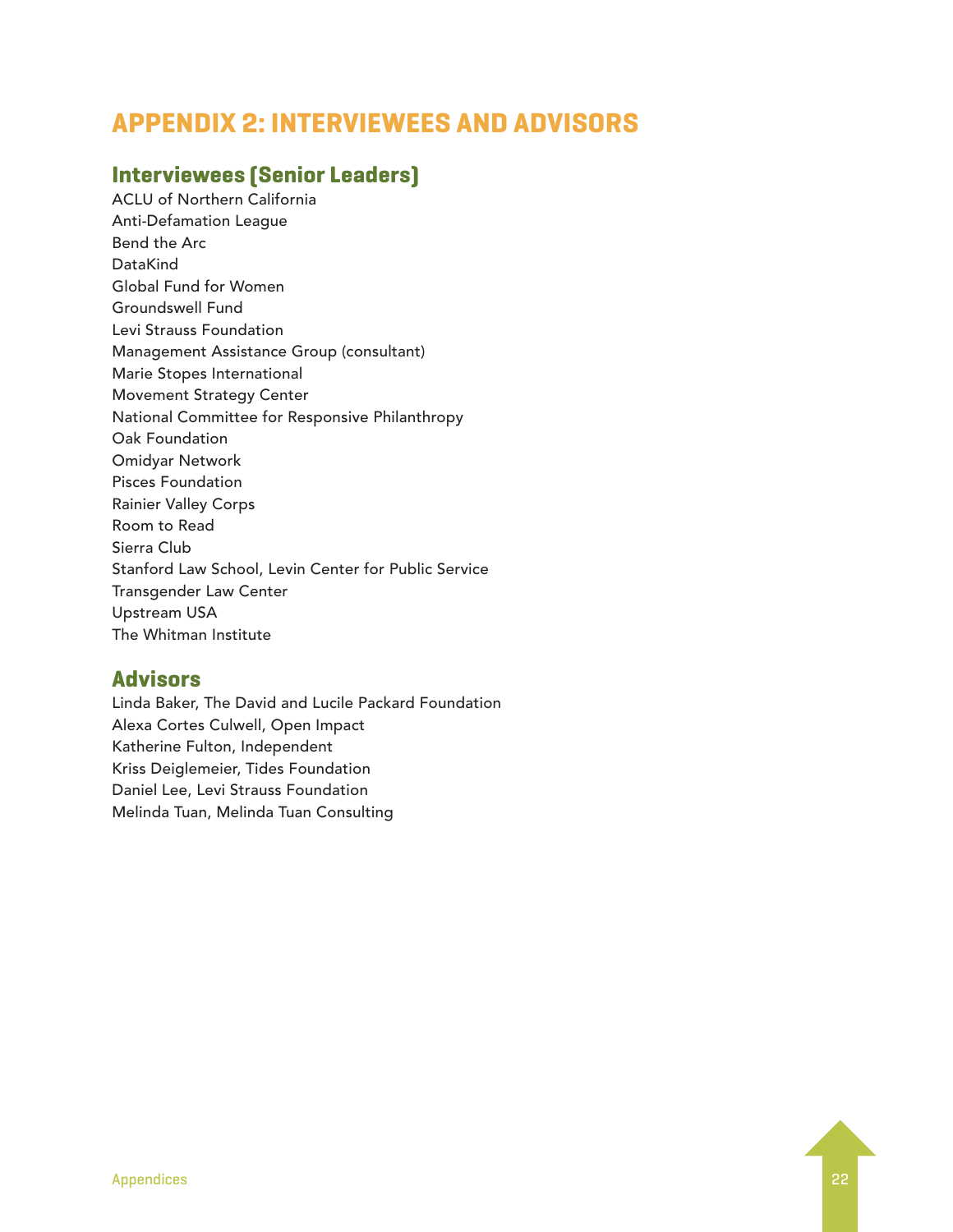### **APPENDIX 2: INTERVIEWEES AND ADVISORS**

### **Interviewees (Senior Leaders)**

ACLU of Northern California Anti-Defamation League Bend the Arc DataKind Global Fund for Women Groundswell Fund Levi Strauss Foundation Management Assistance Group (consultant) Marie Stopes International Movement Strategy Center National Committee for Responsive Philanthropy Oak Foundation Omidyar Network Pisces Foundation Rainier Valley Corps Room to Read Sierra Club Stanford Law School, Levin Center for Public Service Transgender Law Center Upstream USA The Whitman Institute

### **Advisors**

Linda Baker, The David and Lucile Packard Foundation Alexa Cortes Culwell, Open Impact Katherine Fulton, Independent Kriss Deiglemeier, Tides Foundation Daniel Lee, Levi Strauss Foundation Melinda Tuan, Melinda Tuan Consulting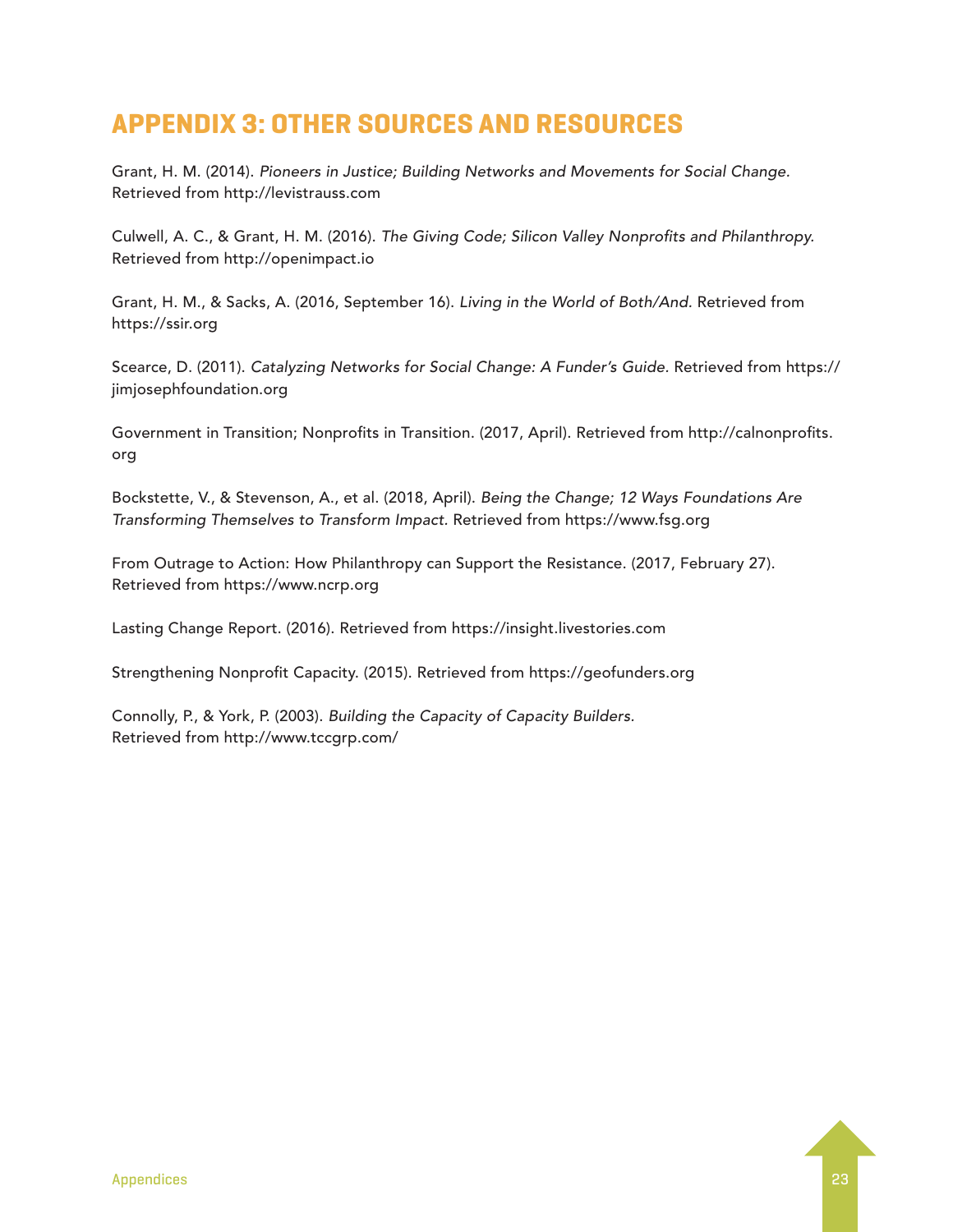### **APPENDIX 3: OTHER SOURCES AND RESOURCES**

Grant, H. M. (2014). *Pioneers in Justice; Building Networks and Movements for Social Change.*  Retrieved from http://levistrauss.com

Culwell, A. C., & Grant, H. M. (2016). *The Giving Code; Silicon Valley Nonprofits and Philanthropy.* Retrieved from http://openimpact.io

Grant, H. M., & Sacks, A. (2016, September 16). *Living in the World of Both/And.* Retrieved from https://ssir.org

Scearce, D. (2011). *Catalyzing Networks for Social Change: A Funder's Guide.* Retrieved from https:// jimjosephfoundation.org

Government in Transition; Nonprofits in Transition. (2017, April). Retrieved from http://calnonprofits. org

Bockstette, V., & Stevenson, A., et al. (2018, April). *Being the Change; 12 Ways Foundations Are Transforming Themselves to Transform Impact.* Retrieved from https://www.fsg.org

From Outrage to Action: How Philanthropy can Support the Resistance. (2017, February 27). Retrieved from https://www.ncrp.org

Lasting Change Report. (2016). Retrieved from https://insight.livestories.com

Strengthening Nonprofit Capacity. (2015). Retrieved from https://geofunders.org

Connolly, P., & York, P. (2003). *Building the Capacity of Capacity Builders.*  Retrieved from http://www.tccgrp.com/